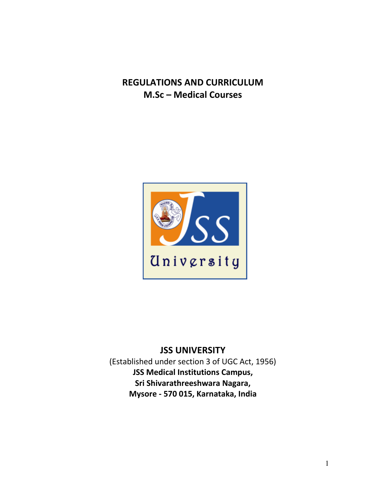# **REGULATIONS AND CURRICULUM M.Sc – Medical Courses**



# **JSS UNIVERSITY**

(Established under section 3 of UGC Act, 1956) **JSS Medical Institutions Campus, Sri Shivarathreeshwara Nagara, Mysore - 570 015, Karnataka, India**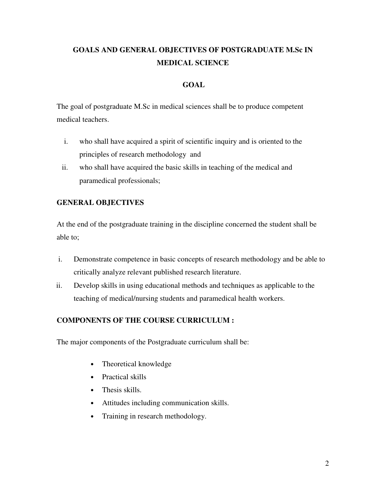# **GOALS AND GENERAL OBJECTIVES OF POSTGRADUATE M.Sc IN MEDICAL SCIENCE**

### **GOAL**

The goal of postgraduate M.Sc in medical sciences shall be to produce competent medical teachers.

- i. who shall have acquired a spirit of scientific inquiry and is oriented to the principles of research methodology and
- ii. who shall have acquired the basic skills in teaching of the medical and paramedical professionals;

# **GENERAL OBJECTIVES**

At the end of the postgraduate training in the discipline concerned the student shall be able to;

- i. Demonstrate competence in basic concepts of research methodology and be able to critically analyze relevant published research literature.
- ii. Develop skills in using educational methods and techniques as applicable to the teaching of medical/nursing students and paramedical health workers.

### **COMPONENTS OF THE COURSE CURRICULUM :**

The major components of the Postgraduate curriculum shall be:

- Theoretical knowledge
- Practical skills
- Thesis skills.
- Attitudes including communication skills.
- Training in research methodology.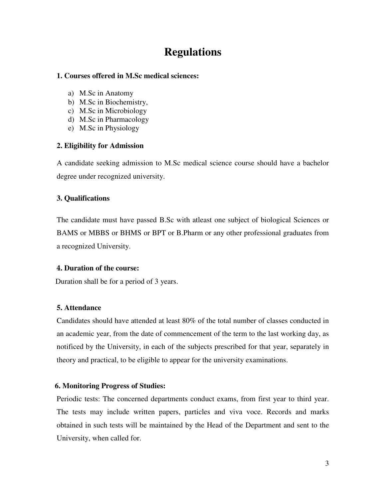# **Regulations**

#### **1. Courses offered in M.Sc medical sciences:**

- a) M.Sc in Anatomy
- b) M.Sc in Biochemistry,
- c) M.Sc in Microbiology
- d) M.Sc in Pharmacology
- e) M.Sc in Physiology

#### **2. Eligibility for Admission**

A candidate seeking admission to M.Sc medical science course should have a bachelor degree under recognized university.

### **3. Qualifications**

The candidate must have passed B.Sc with atleast one subject of biological Sciences or BAMS or MBBS or BHMS or BPT or B.Pharm or any other professional graduates from a recognized University.

### **4. Duration of the course:**

Duration shall be for a period of 3 years.

### **5. Attendance**

Candidates should have attended at least 80% of the total number of classes conducted in an academic year, from the date of commencement of the term to the last working day, as notificed by the University, in each of the subjects prescribed for that year, separately in theory and practical, to be eligible to appear for the university examinations.

### **6. Monitoring Progress of Studies:**

Periodic tests: The concerned departments conduct exams, from first year to third year. The tests may include written papers, particles and viva voce. Records and marks obtained in such tests will be maintained by the Head of the Department and sent to the University, when called for.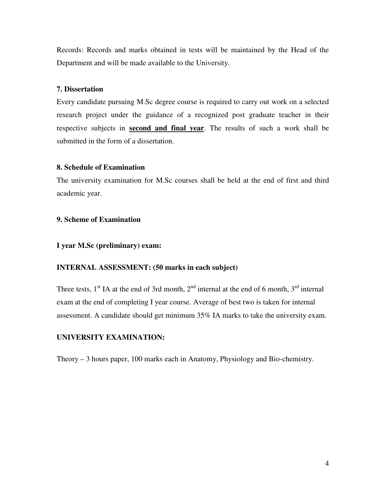Records: Records and marks obtained in tests will be maintained by the Head of the Department and will be made available to the University.

#### **7. Dissertation**

Every candidate pursuing M.Sc degree course is required to carry out work on a selected research project under the guidance of a recognized post graduate teacher in their respective subjects in **second and final year**. The results of such a work shall be submitted in the form of a dissertation.

#### **8. Schedule of Examination**

The university examination for M.Sc courses shall be held at the end of first and third academic year.

#### **9. Scheme of Examination**

#### **I year M.Sc (preliminary) exam:**

#### **INTERNAL ASSESSMENT: (50 marks in each subject)**

Three tests,  $1<sup>st</sup>$  IA at the end of 3rd month,  $2<sup>nd</sup>$  internal at the end of 6 month,  $3<sup>rd</sup>$  internal exam at the end of completing I year course. Average of best two is taken for internal assessment. A candidate should get minimum 35% IA marks to take the university exam.

#### **UNIVERSITY EXAMINATION:**

Theory – 3 hours paper, 100 marks each in Anatomy, Physiology and Bio-chemistry.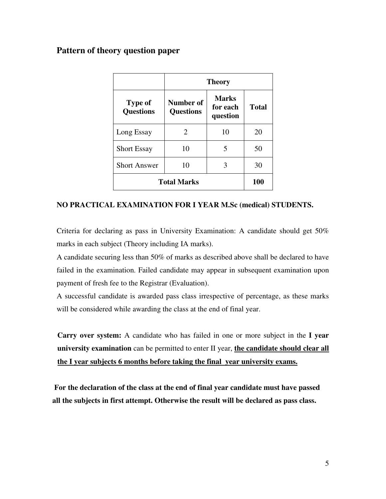# **Pattern of theory question paper**

|                                    | <b>Theory</b>                        |                                      |              |  |
|------------------------------------|--------------------------------------|--------------------------------------|--------------|--|
| <b>Type of</b><br><b>Questions</b> | <b>Number of</b><br><b>Questions</b> | <b>Marks</b><br>for each<br>question | <b>Total</b> |  |
| Long Essay                         | 2                                    | 10                                   | 20           |  |
| <b>Short Essay</b>                 | 10                                   | 5                                    | 50           |  |
| <b>Short Answer</b>                | 10                                   | 3                                    | 30           |  |
| <b>Total Marks</b>                 | <b>100</b>                           |                                      |              |  |

#### **NO PRACTICAL EXAMINATION FOR I YEAR M.Sc (medical) STUDENTS.**

Criteria for declaring as pass in University Examination: A candidate should get 50% marks in each subject (Theory including IA marks).

A candidate securing less than 50% of marks as described above shall be declared to have failed in the examination. Failed candidate may appear in subsequent examination upon payment of fresh fee to the Registrar (Evaluation).

A successful candidate is awarded pass class irrespective of percentage, as these marks will be considered while awarding the class at the end of final year.

**Carry over system:** A candidate who has failed in one or more subject in the **I year university examination** can be permitted to enter II year, **the candidate should clear all the I year subjects 6 months before taking the final year university exams.**

 **For the declaration of the class at the end of final year candidate must have passed all the subjects in first attempt. Otherwise the result will be declared as pass class.**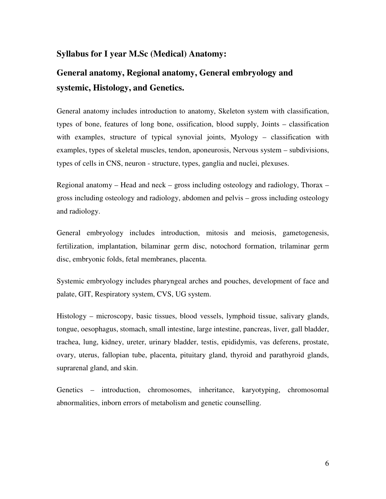### **Syllabus for I year M.Sc (Medical) Anatomy:**

# **General anatomy, Regional anatomy, General embryology and systemic, Histology, and Genetics.**

General anatomy includes introduction to anatomy, Skeleton system with classification, types of bone, features of long bone, ossification, blood supply, Joints – classification with examples, structure of typical synovial joints, Myology – classification with examples, types of skeletal muscles, tendon, aponeurosis, Nervous system – subdivisions, types of cells in CNS, neuron - structure, types, ganglia and nuclei, plexuses.

Regional anatomy – Head and neck – gross including osteology and radiology, Thorax – gross including osteology and radiology, abdomen and pelvis – gross including osteology and radiology.

General embryology includes introduction, mitosis and meiosis, gametogenesis, fertilization, implantation, bilaminar germ disc, notochord formation, trilaminar germ disc, embryonic folds, fetal membranes, placenta.

Systemic embryology includes pharyngeal arches and pouches, development of face and palate, GIT, Respiratory system, CVS, UG system.

Histology – microscopy, basic tissues, blood vessels, lymphoid tissue, salivary glands, tongue, oesophagus, stomach, small intestine, large intestine, pancreas, liver, gall bladder, trachea, lung, kidney, ureter, urinary bladder, testis, epididymis, vas deferens, prostate, ovary, uterus, fallopian tube, placenta, pituitary gland, thyroid and parathyroid glands, suprarenal gland, and skin.

Genetics – introduction, chromosomes, inheritance, karyotyping, chromosomal abnormalities, inborn errors of metabolism and genetic counselling.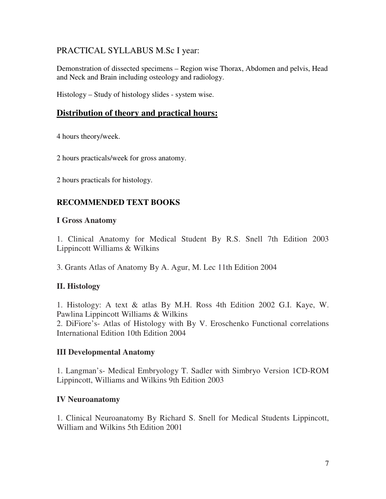# PRACTICAL SYLLABUS M.Sc I year:

Demonstration of dissected specimens – Region wise Thorax, Abdomen and pelvis, Head and Neck and Brain including osteology and radiology.

Histology – Study of histology slides - system wise.

# **Distribution of theory and practical hours:**

4 hours theory/week.

2 hours practicals/week for gross anatomy.

2 hours practicals for histology.

# **RECOMMENDED TEXT BOOKS**

### **I Gross Anatomy**

1. Clinical Anatomy for Medical Student By R.S. Snell 7th Edition 2003 Lippincott Williams & Wilkins

3. Grants Atlas of Anatomy By A. Agur, M. Lec 11th Edition 2004

# **II. Histology**

1. Histology: A text & atlas By M.H. Ross 4th Edition 2002 G.I. Kaye, W. Pawlina Lippincott Williams & Wilkins

2. DiFiore's- Atlas of Histology with By V. Eroschenko Functional correlations International Edition 10th Edition 2004

# **III Developmental Anatomy**

1. Langman's- Medical Embryology T. Sadler with Simbryo Version 1CD-ROM Lippincott, Williams and Wilkins 9th Edition 2003

# **IV Neuroanatomy**

1. Clinical Neuroanatomy By Richard S. Snell for Medical Students Lippincott, William and Wilkins 5th Edition 2001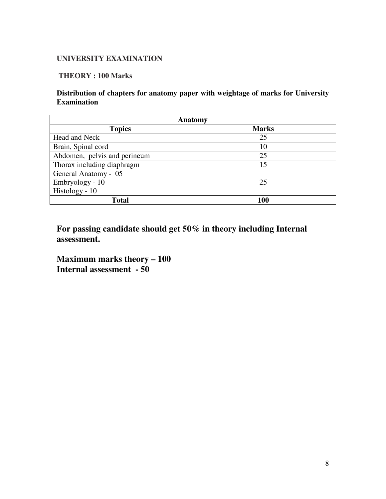### **UNIVERSITY EXAMINATION**

#### **THEORY : 100 Marks**

### **Distribution of chapters for anatomy paper with weightage of marks for University Examination**

| Anatomy                       |     |  |  |
|-------------------------------|-----|--|--|
| <b>Topics</b><br><b>Marks</b> |     |  |  |
| Head and Neck                 | 25  |  |  |
| Brain, Spinal cord            | 10  |  |  |
| Abdomen, pelvis and perineum  | 25  |  |  |
| Thorax including diaphragm    | 15  |  |  |
| General Anatomy - 05          |     |  |  |
| Embryology - 10               | 25  |  |  |
| Histology - 10                |     |  |  |
| Total                         | 100 |  |  |

**For passing candidate should get 50% in theory including Internal assessment.** 

**Maximum marks theory – 100 Internal assessment - 50**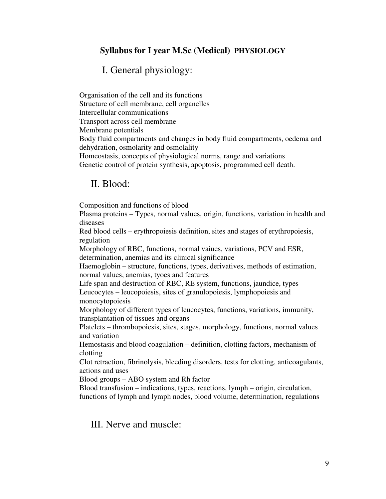# **Syllabus for I year M.Sc (Medical) PHYSIOLOGY**

# I. General physiology:

Organisation of the cell and its functions Structure of cell membrane, cell organelles Intercellular communications Transport across cell membrane Membrane potentials Body fluid compartments and changes in body fluid compartments, oedema and dehydration, osmolarity and osmolality Homeostasis, concepts of physiological norms, range and variations Genetic control of protein synthesis, apoptosis, programmed cell death.

### II. Blood:

Composition and functions of blood

Plasma proteins – Types, normal values, origin, functions, variation in health and diseases

Red blood cells – erythropoiesis definition, sites and stages of erythropoiesis, regulation

Morphology of RBC, functions, normal vaiues, variations, PCV and ESR, determination, anemias and its clinical significance

Haemoglobin – structure, functions, types, derivatives, methods of estimation, normal values, anemias, tyoes and features

Life span and destruction of RBC, RE system, functions, jaundice, types Leucocytes – leucopoiesis, sites of granulopoiesis, lymphopoiesis and monocytopoiesis

Morphology of different types of leucocytes, functions, variations, immunity, transplantation of tissues and organs

Platelets – thrombopoiesis, sites, stages, morphology, functions, normal values and variation

Hemostasis and blood coagulation – definition, clotting factors, mechanism of clotting

Clot retraction, fibrinolysis, bleeding disorders, tests for clotting, anticoagulants, actions and uses

Blood groups – ABO system and Rh factor

Blood transfusion – indications, types, reactions, lymph – origin, circulation, functions of lymph and lymph nodes, blood volume, determination, regulations

III. Nerve and muscle: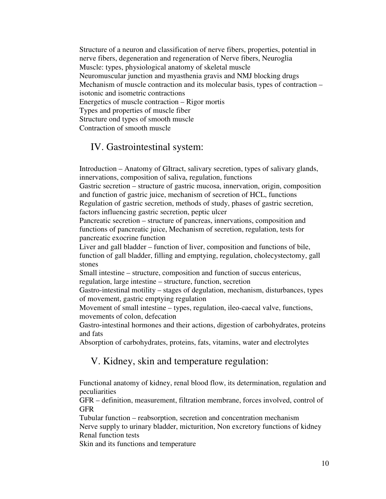Structure of a neuron and classification of nerve fibers, properties, potential in nerve fibers, degeneration and regeneration of Nerve fibers, Neuroglia Muscle: types, physiological anatomy of skeletal muscle Neuromuscular junction and myasthenia gravis and NMJ blocking drugs Mechanism of muscle contraction and its molecular basis, types of contraction – isotonic and isometric contractions Energetics of muscle contraction – Rigor mortis Types and properties of muscle fiber Structure ond types of smooth muscle Contraction of smooth muscle

# IV. Gastrointestinal system:

Introduction – Anatomy of GItract, salivary secretion, types of salivary glands, innervations, composition of saliva, regulation, functions

Gastric secretion – structure of gastric mucosa, innervation, origin, composition and function of gastric juice, mechanism of secretion of HCL, functions Regulation of gastric secretion, methods of study, phases of gastric secretion,

factors influencing gastric secretion, peptic ulcer

Pancreatic secretion – structure of pancreas, innervations, composition and functions of pancreatic juice, Mechanism of secretion, regulation, tests for pancreatic exocrine function

Liver and gall bladder – function of liver, composition and functions of bile, function of gall bladder, filling and emptying, regulation, cholecystectomy, gall stones

Small intestine – structure, composition and function of succus entericus, regulation, large intestine – structure, function, secretion

Gastro-intestinal motility – stages of degulation, mechanism, disturbances, types of movement, gastric emptying regulation

Movement of small intestine – types, regulation, ileo-caecal valve, functions, movements of colon, defecation

Gastro-intestinal hormones and their actions, digestion of carbohydrates, proteins and fats

Absorption of carbohydrates, proteins, fats, vitamins, water and electrolytes

# V. Kidney, skin and temperature regulation:

Functional anatomy of kidney, renal blood flow, its determination, regulation and peculiarities

GFR – definition, measurement, filtration membrane, forces involved, control of GFR

Tubular function – reabsorption, secretion and concentration mechanism Nerve supply to urinary bladder, micturition, Non excretory functions of kidney Renal function tests

Skin and its functions and temperature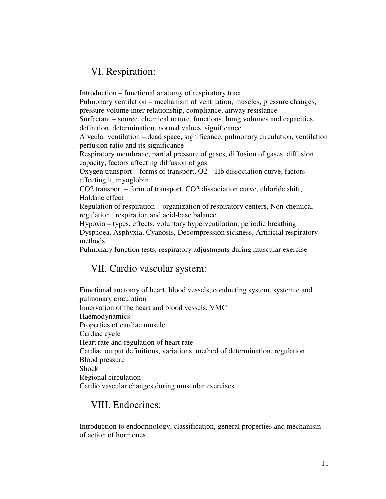# VI. Respiration:

Introduction – functional anatomy of respiratory tract Pulmonary ventilation – mechanism of ventilation, muscles, pressure changes, pressure volume inter relationship, compliance, airway resistance Surfactant – source, chemical nature, functions, lumg volumes and capacities, definition, determination, normal values, significance Alveolar ventilation – dead space, significance, pulmonary circulation, ventilation perfusion ratio and its significance Respiratory membrane, partial pressure of gases, diffusion of gases, diffusion capacity, factors affecting diffusion of gas Oxygen transport – forms of transport, O2 – Hb dissociation curve, factors affecting it, myoglobin CO2 transport – form of transport, CO2 dissociation curve, chloride shift, Haldane effect Regulation of respiration – organization of respiratory centers, Non-chemical regulation, respiration and acid-base balance Hypoxia – types, effects, voluntary hyperventilation, periodic breathing Dyspnoea, Asphyxia, Cyanosis, Decompression sickness, Artificial respiratory methods Pulmonary function tests, respiratory adjustments during muscular exercise

# VII. Cardio vascular system:

Functional anatomy of heart, blood vessels, conducting system, systemic and pulmonary circulation Innervation of the heart and blood vessels, VMC Haemodynamics Properties of cardiac muscle Cardiac cycle Heart rate and regulation of heart rate Cardiac output definitions, variations, method of determination, regulation Blood pressure Shock Regional circulation Cardio vascular changes during muscular exercises

# VIII. Endocrines:

Introduction to endocrinology, classification, general properties and mechanism of action of hormones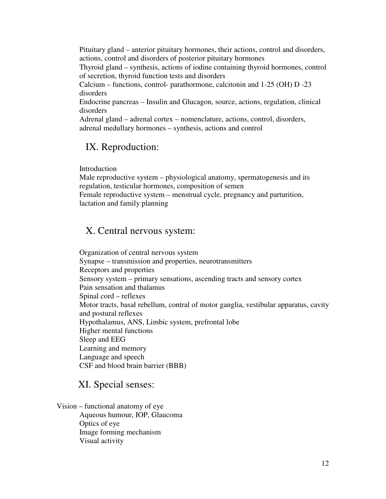Pituitary gland – anterior pituitary hormones, their actions, control and disorders, actions, control and disorders of posterior pituitary hormones

Thyroid gland – synthesis, actions of iodine containing thyroid hormones, control of secretion, thyroid function tests and disorders

Calcium – functions, control- parathormone, calcitonin and 1-25 (OH) D -23 disorders

Endocrine pancreas – Insulin and Glucagon, source, actions, regulation, clinical disorders

Adrenal gland – adrenal cortex – nomenclature, actions, control, disorders, adrenal medullary hormones – synthesis, actions and control

# IX. Reproduction:

Introduction

Male reproductive system – physiological anatomy, spermatogenesis and its regulation, testicular hormones, composition of semen Female reproductive system – menstrual cycle, pregnancy and parturition, lactation and family planning

# X. Central nervous system:

Organization of central nervous system Synapse – transmission and properties, neurotransmitters Receptors and properties Sensory system – primary sensations, ascending tracts and sensory cortex Pain sensation and thalamus Spinal cord – reflexes Motor tracts, basal rebellum, contral of motor ganglia, vestibular apparatus, cavity and postural reflexes Hypothalamus, ANS, Limbic system, prefrontal lobe Higher mental functions Sleep and EEG Learning and memory Language and speech CSF and blood brain barrier (BBB)

# XI. Special senses:

Vision – functional anatomy of eye Aqueous humour, IOP, Glaucoma Optics of eye Image forming mechanism Visual activity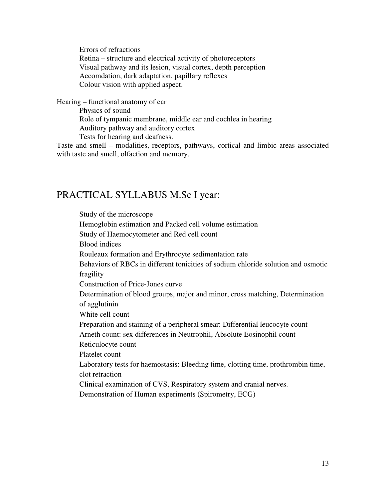Errors of refractions Retina – structure and electrical activity of photoreceptors Visual pathway and its lesion, visual cortex, depth perception Accomdation, dark adaptation, papillary reflexes Colour vision with applied aspect.

Hearing – functional anatomy of ear Physics of sound Role of tympanic membrane, middle ear and cochlea in hearing Auditory pathway and auditory cortex Tests for hearing and deafness.

Taste and smell – modalities, receptors, pathways, cortical and limbic areas associated with taste and smell, olfaction and memory.

# PRACTICAL SYLLABUS M.Sc I year:

Study of the microscope Hemoglobin estimation and Packed cell volume estimation Study of Haemocytometer and Red cell count Blood indices Rouleaux formation and Erythrocyte sedimentation rate Behaviors of RBCs in different tonicities of sodium chloride solution and osmotic fragility Construction of Price-Jones curve Determination of blood groups, major and minor, cross matching, Determination of agglutinin White cell count Preparation and staining of a peripheral smear: Differential leucocyte count Arneth count: sex differences in Neutrophil, Absolute Eosinophil count Reticulocyte count Platelet count Laboratory tests for haemostasis: Bleeding time, clotting time, prothrombin time, clot retraction Clinical examination of CVS, Respiratory system and cranial nerves. Demonstration of Human experiments (Spirometry, ECG)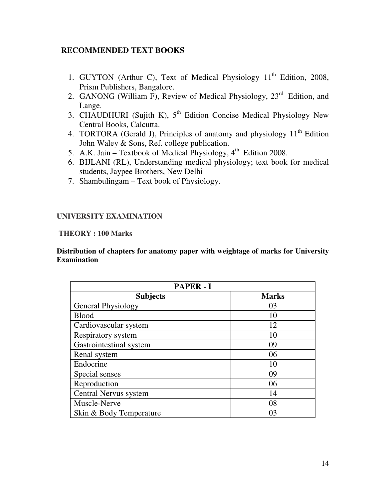# **RECOMMENDED TEXT BOOKS**

- 1. GUYTON (Arthur C), Text of Medical Physiology  $11<sup>th</sup>$  Edition, 2008, Prism Publishers, Bangalore.
- 2. GANONG (William F), Review of Medical Physiology, 23<sup>rd</sup> Edition, and Lange.
- 3. CHAUDHURI (Sujith K),  $5<sup>th</sup>$  Edition Concise Medical Physiology New Central Books, Calcutta.
- 4. TORTORA (Gerald J), Principles of anatomy and physiology  $11<sup>th</sup>$  Edition John Waley & Sons, Ref. college publication.
- 5. A.K. Jain Textbook of Medical Physiology,  $4<sup>th</sup>$  Edition 2008.
- 6. BIJLANI (RL), Understanding medical physiology; text book for medical students, Jaypee Brothers, New Delhi
- 7. Shambulingam Text book of Physiology.

# **UNIVERSITY EXAMINATION**

### **THEORY : 100 Marks**

**Distribution of chapters for anatomy paper with weightage of marks for University Examination** 

| <b>PAPER - I</b>        |              |  |  |
|-------------------------|--------------|--|--|
| <b>Subjects</b>         | <b>Marks</b> |  |  |
| General Physiology      | 03           |  |  |
| <b>Blood</b>            | 10           |  |  |
| Cardiovascular system   | 12           |  |  |
| Respiratory system      | 10           |  |  |
| Gastrointestinal system | 09           |  |  |
| Renal system            | 06           |  |  |
| Endocrine               | 10           |  |  |
| Special senses          | 09           |  |  |
| Reproduction            | 06           |  |  |
| Central Nervus system   | 14           |  |  |
| Muscle-Nerve            | 08           |  |  |
| Skin & Body Temperature | 03           |  |  |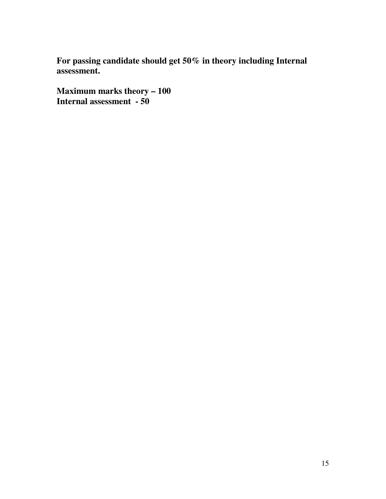**For passing candidate should get 50% in theory including Internal assessment.** 

**Maximum marks theory – 100 Internal assessment - 50**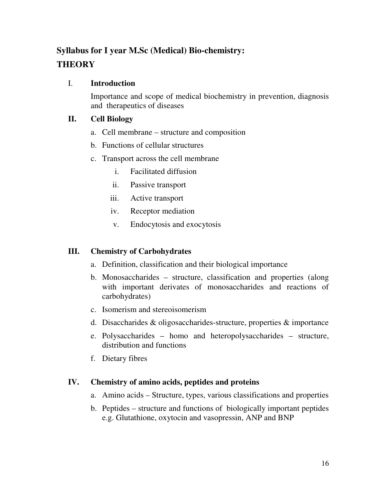# **Syllabus for I year M.Sc (Medical) Bio-chemistry: THEORY**

# I. **Introduction**

Importance and scope of medical biochemistry in prevention, diagnosis and therapeutics of diseases

# **II. Cell Biology**

- a. Cell membrane structure and composition
- b. Functions of cellular structures
- c. Transport across the cell membrane
	- i. Facilitated diffusion
	- ii. Passive transport
	- iii. Active transport
	- iv. Receptor mediation
	- v. Endocytosis and exocytosis

# **III. Chemistry of Carbohydrates**

- a. Definition, classification and their biological importance
- b. Monosaccharides structure, classification and properties (along with important derivates of monosaccharides and reactions of carbohydrates)
- c. Isomerism and stereoisomerism
- d. Disaccharides & oligosaccharides-structure, properties & importance
- e. Polysaccharides homo and heteropolysaccharides structure, distribution and functions
- f. Dietary fibres

# **IV. Chemistry of amino acids, peptides and proteins**

- a. Amino acids Structure, types, various classifications and properties
- b. Peptides structure and functions of biologically important peptides e.g. Glutathione, oxytocin and vasopressin, ANP and BNP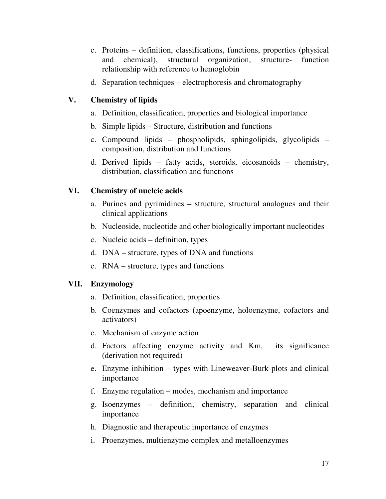- c. Proteins definition, classifications, functions, properties (physical and chemical), structural organization, structure- function relationship with reference to hemoglobin
- d. Separation techniques electrophoresis and chromatography

# **V. Chemistry of lipids**

- a. Definition, classification, properties and biological importance
- b. Simple lipids Structure, distribution and functions
- c. Compound lipids phospholipids, sphingolipids, glycolipids composition, distribution and functions
- d. Derived lipids fatty acids, steroids, eicosanoids chemistry, distribution, classification and functions

# **VI. Chemistry of nucleic acids**

- a. Purines and pyrimidines structure, structural analogues and their clinical applications
- b. Nucleoside, nucleotide and other biologically important nucleotides
- c. Nucleic acids definition, types
- d. DNA structure, types of DNA and functions
- e. RNA structure, types and functions

### **VII. Enzymology**

- a. Definition, classification, properties
- b. Coenzymes and cofactors (apoenzyme, holoenzyme, cofactors and activators)
- c. Mechanism of enzyme action
- d. Factors affecting enzyme activity and Km, its significance (derivation not required)
- e. Enzyme inhibition types with Lineweaver-Burk plots and clinical importance
- f. Enzyme regulation modes, mechanism and importance
- g. Isoenzymes definition, chemistry, separation and clinical importance
- h. Diagnostic and therapeutic importance of enzymes
- i. Proenzymes, multienzyme complex and metalloenzymes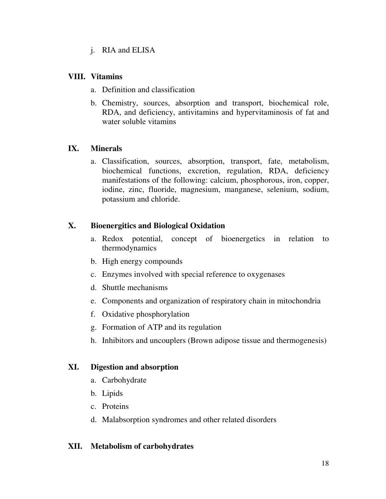j. RIA and ELISA

# **VIII. Vitamins**

- a. Definition and classification
- b. Chemistry, sources, absorption and transport, biochemical role, RDA, and deficiency, antivitamins and hypervitaminosis of fat and water soluble vitamins

# **IX. Minerals**

a. Classification, sources, absorption, transport, fate, metabolism, biochemical functions, excretion, regulation, RDA, deficiency manifestations of the following: calcium, phosphorous, iron, copper, iodine, zinc, fluoride, magnesium, manganese, selenium, sodium, potassium and chloride.

# **X. Bioenergitics and Biological Oxidation**

- a. Redox potential, concept of bioenergetics in relation to thermodynamics
- b. High energy compounds
- c. Enzymes involved with special reference to oxygenases
- d. Shuttle mechanisms
- e. Components and organization of respiratory chain in mitochondria
- f. Oxidative phosphorylation
- g. Formation of ATP and its regulation
- h. Inhibitors and uncouplers (Brown adipose tissue and thermogenesis)

# **XI. Digestion and absorption**

- a. Carbohydrate
- b. Lipids
- c. Proteins
- d. Malabsorption syndromes and other related disorders

# **XII. Metabolism of carbohydrates**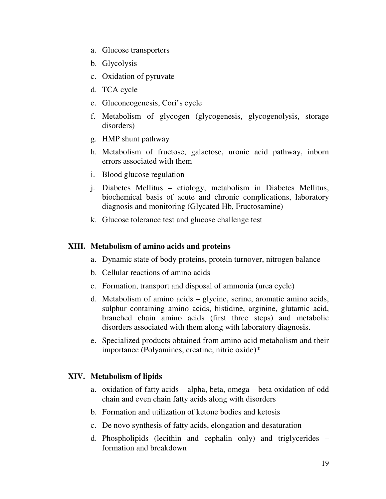- a. Glucose transporters
- b. Glycolysis
- c. Oxidation of pyruvate
- d. TCA cycle
- e. Gluconeogenesis, Cori's cycle
- f. Metabolism of glycogen (glycogenesis, glycogenolysis, storage disorders)
- g. HMP shunt pathway
- h. Metabolism of fructose, galactose, uronic acid pathway, inborn errors associated with them
- i. Blood glucose regulation
- j. Diabetes Mellitus etiology, metabolism in Diabetes Mellitus, biochemical basis of acute and chronic complications, laboratory diagnosis and monitoring (Glycated Hb, Fructosamine)
- k. Glucose tolerance test and glucose challenge test

#### **XIII. Metabolism of amino acids and proteins**

- a. Dynamic state of body proteins, protein turnover, nitrogen balance
- b. Cellular reactions of amino acids
- c. Formation, transport and disposal of ammonia (urea cycle)
- d. Metabolism of amino acids glycine, serine, aromatic amino acids, sulphur containing amino acids, histidine, arginine, glutamic acid, branched chain amino acids (first three steps) and metabolic disorders associated with them along with laboratory diagnosis.
- e. Specialized products obtained from amino acid metabolism and their importance (Polyamines, creatine, nitric oxide)\*

#### **XIV. Metabolism of lipids**

- a. oxidation of fatty acids alpha, beta, omega beta oxidation of odd chain and even chain fatty acids along with disorders
- b. Formation and utilization of ketone bodies and ketosis
- c. De novo synthesis of fatty acids, elongation and desaturation
- d. Phospholipids (lecithin and cephalin only) and triglycerides formation and breakdown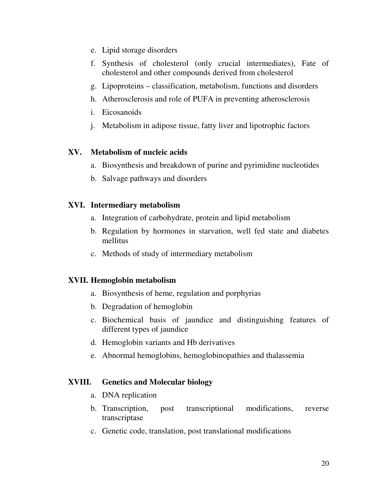- e. Lipid storage disorders
- f. Synthesis of cholesterol (only crucial intermediates), Fate of cholesterol and other compounds derived from cholesterol
- g. Lipoproteins classification, metabolism, functions and disorders
- h. Atherosclerosis and role of PUFA in preventing atherosclerosis
- i. Eicosanoids
- j. Metabolism in adipose tissue, fatty liver and lipotrophic factors

### **XV. Metabolism of nucleic acids**

- a. Biosynthesis and breakdown of purine and pyrimidine nucleotides
- b. Salvage pathways and disorders

### **XVI. Intermediary metabolism**

- a. Integration of carbohydrate, protein and lipid metabolism
- b. Regulation by hormones in starvation, well fed state and diabetes mellitus
- c. Methods of study of intermediary metabolism

# **XVII. Hemoglobin metabolism**

- a. Biosynthesis of heme, regulation and porphyrias
- b. Degradation of hemoglobin
- c. Biochemical basis of jaundice and distinguishing features of different types of jaundice
- d. Hemoglobin variants and Hb derivatives
- e. Abnormal hemoglobins, hemoglobinopathies and thalassemia

# **XVIII. Genetics and Molecular biology**

- a. DNA replication
- b. Transcription, post transcriptional modifications, reverse transcriptase
- c. Genetic code, translation, post translational modifications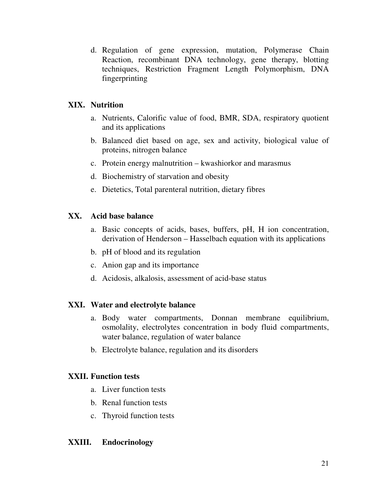d. Regulation of gene expression, mutation, Polymerase Chain Reaction, recombinant DNA technology, gene therapy, blotting techniques, Restriction Fragment Length Polymorphism, DNA fingerprinting

# **XIX. Nutrition**

- a. Nutrients, Calorific value of food, BMR, SDA, respiratory quotient and its applications
- b. Balanced diet based on age, sex and activity, biological value of proteins, nitrogen balance
- c. Protein energy malnutrition kwashiorkor and marasmus
- d. Biochemistry of starvation and obesity
- e. Dietetics, Total parenteral nutrition, dietary fibres

# **XX. Acid base balance**

- a. Basic concepts of acids, bases, buffers, pH, H ion concentration, derivation of Henderson – Hasselbach equation with its applications
- b. pH of blood and its regulation
- c. Anion gap and its importance
- d. Acidosis, alkalosis, assessment of acid-base status

# **XXI. Water and electrolyte balance**

- a. Body water compartments, Donnan membrane equilibrium, osmolality, electrolytes concentration in body fluid compartments, water balance, regulation of water balance
- b. Electrolyte balance, regulation and its disorders

# **XXII. Function tests**

- a. Liver function tests
- b. Renal function tests
- c. Thyroid function tests

# **XXIII. Endocrinology**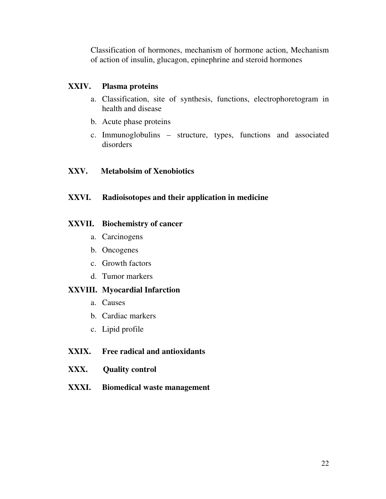Classification of hormones, mechanism of hormone action, Mechanism of action of insulin, glucagon, epinephrine and steroid hormones

### **XXIV. Plasma proteins**

- a. Classification, site of synthesis, functions, electrophoretogram in health and disease
- b. Acute phase proteins
- c. Immunoglobulins structure, types, functions and associated disorders

# **XXV. Metabolsim of Xenobiotics**

# **XXVI. Radioisotopes and their application in medicine**

### **XXVII. Biochemistry of cancer**

- a. Carcinogens
- b. Oncogenes
- c. Growth factors
- d. Tumor markers

### **XXVIII. Myocardial Infarction**

- a. Causes
- b. Cardiac markers
- c. Lipid profile

# **XXIX. Free radical and antioxidants**

- **XXX. Quality control**
- **XXXI. Biomedical waste management**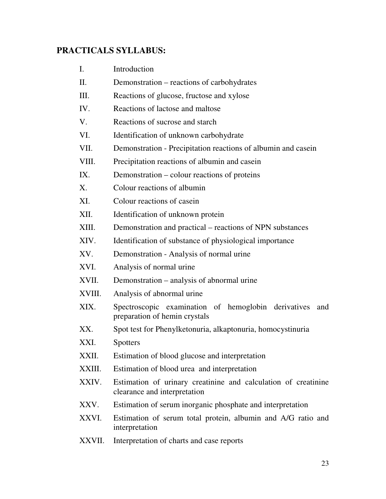# **PRACTICALS SYLLABUS:**

| I.     | Introduction                                                                                   |  |  |
|--------|------------------------------------------------------------------------------------------------|--|--|
| II.    | Demonstration – reactions of carbohydrates                                                     |  |  |
| Ш.     | Reactions of glucose, fructose and xylose                                                      |  |  |
| IV.    | Reactions of lactose and maltose                                                               |  |  |
| V.     | Reactions of sucrose and starch                                                                |  |  |
| VI.    | Identification of unknown carbohydrate                                                         |  |  |
| VII.   | Demonstration - Precipitation reactions of albumin and casein                                  |  |  |
| VIII.  | Precipitation reactions of albumin and casein                                                  |  |  |
| IX.    | Demonstration – colour reactions of proteins                                                   |  |  |
| X.     | Colour reactions of albumin                                                                    |  |  |
| XI.    | Colour reactions of casein                                                                     |  |  |
| XII.   | Identification of unknown protein                                                              |  |  |
| XIII.  | Demonstration and practical – reactions of NPN substances                                      |  |  |
| XIV.   | Identification of substance of physiological importance                                        |  |  |
| XV.    | Demonstration - Analysis of normal urine                                                       |  |  |
| XVI.   | Analysis of normal urine                                                                       |  |  |
| XVII.  | Demonstration – analysis of abnormal urine                                                     |  |  |
| XVIII. | Analysis of abnormal urine                                                                     |  |  |
| XIX.   | Spectroscopic examination of hemoglobin derivatives<br>and<br>preparation of hemin crystals    |  |  |
| XX.    | Spot test for Phenylketonuria, alkaptonuria, homocystinuria                                    |  |  |
| XXI.   | <b>Spotters</b>                                                                                |  |  |
| XXII.  | Estimation of blood glucose and interpretation                                                 |  |  |
| XXIII. | Estimation of blood urea and interpretation                                                    |  |  |
| XXIV.  | Estimation of urinary creatinine and calculation of creatinine<br>clearance and interpretation |  |  |
| XXV.   | Estimation of serum inorganic phosphate and interpretation                                     |  |  |
| XXVI.  | Estimation of serum total protein, albumin and A/G ratio and<br>interpretation                 |  |  |
| XXVII. | Interpretation of charts and case reports                                                      |  |  |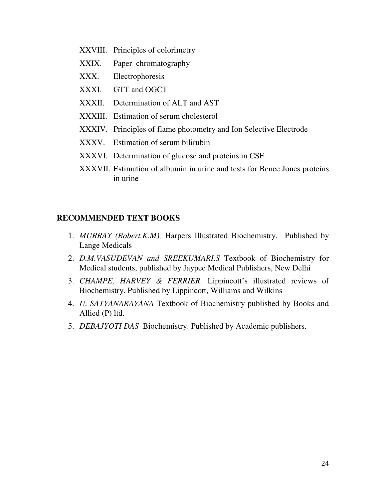- XXVIII. Principles of colorimetry
- XXIX. Paper chromatography
- XXX. Electrophoresis
- XXXI. GTT and OGCT
- XXXII. Determination of ALT and AST
- XXXIII. Estimation of serum cholesterol
- XXXIV. Principles of flame photometry and Ion Selective Electrode
- XXXV. Estimation of serum bilirubin
- XXXVI. Determination of glucose and proteins in CSF
- XXXVII. Estimation of albumin in urine and tests for Bence Jones proteins in urine

#### **RECOMMENDED TEXT BOOKS**

- 1. *MURRAY (Robert.K.M),* Harpers Illustrated Biochemistry. Published by Lange Medicals
- 2. *D.M.VASUDEVAN and SREEKUMARI.S* Textbook of Biochemistry for Medical students, published by Jaypee Medical Publishers, New Delhi
- 3. *CHAMPE, HARVEY & FERRIER.* Lippincott's illustrated reviews of Biochemistry. Published by Lippincott, Williams and Wilkins
- 4. *U. SATYANARAYANA* Textbook of Biochemistry published by Books and Allied (P) ltd.
- 5. *DEBAJYOTI DAS* Biochemistry. Published by Academic publishers.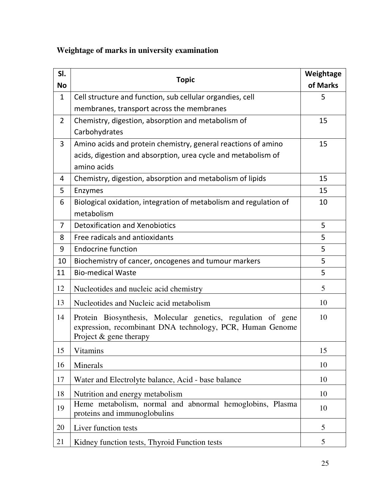# **Weightage of marks in university examination**

| SI.<br><b>No</b> | <b>Topic</b>                                                                                                                                          | Weightage<br>of Marks |
|------------------|-------------------------------------------------------------------------------------------------------------------------------------------------------|-----------------------|
| $\mathbf{1}$     | Cell structure and function, sub cellular organdies, cell                                                                                             | 5                     |
|                  | membranes, transport across the membranes                                                                                                             |                       |
| $\overline{2}$   | Chemistry, digestion, absorption and metabolism of                                                                                                    | 15                    |
|                  | Carbohydrates                                                                                                                                         |                       |
| 3                | Amino acids and protein chemistry, general reactions of amino                                                                                         | 15                    |
|                  | acids, digestion and absorption, urea cycle and metabolism of                                                                                         |                       |
|                  | amino acids                                                                                                                                           |                       |
| 4                | Chemistry, digestion, absorption and metabolism of lipids                                                                                             | 15                    |
| 5                | Enzymes                                                                                                                                               | 15                    |
| 6                | Biological oxidation, integration of metabolism and regulation of                                                                                     | 10                    |
|                  | metabolism                                                                                                                                            |                       |
| 7                | <b>Detoxification and Xenobiotics</b>                                                                                                                 | 5                     |
| 8                | Free radicals and antioxidants                                                                                                                        | 5                     |
| 9                | <b>Endocrine function</b>                                                                                                                             | 5                     |
| 10               | Biochemistry of cancer, oncogenes and tumour markers                                                                                                  | 5                     |
| 11               | <b>Bio-medical Waste</b>                                                                                                                              | 5                     |
| 12               | Nucleotides and nucleic acid chemistry                                                                                                                | 5                     |
| 13               | Nucleotides and Nucleic acid metabolism                                                                                                               | 10                    |
| 14               | Protein Biosynthesis, Molecular genetics, regulation of gene<br>expression, recombinant DNA technology, PCR, Human Genome<br>Project $&$ gene therapy | 10                    |
| 15               | <b>Vitamins</b>                                                                                                                                       | 15                    |
| 16               | Minerals                                                                                                                                              | 10                    |
| 17               | Water and Electrolyte balance, Acid - base balance                                                                                                    | 10                    |
| 18               | Nutrition and energy metabolism                                                                                                                       | 10                    |
| 19               | Heme metabolism, normal and abnormal hemoglobins, Plasma<br>proteins and immunoglobulins                                                              | 10                    |
| 20               | Liver function tests                                                                                                                                  | 5                     |
| 21               | Kidney function tests, Thyroid Function tests                                                                                                         | 5                     |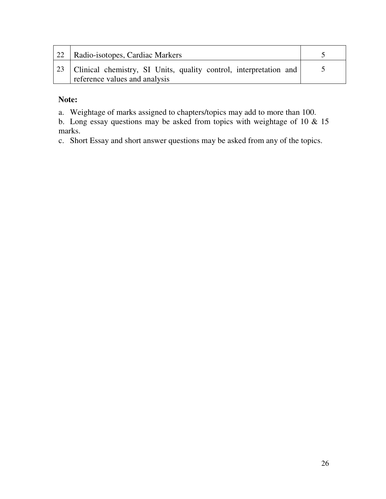| 22   Radio-isotopes, Cardiac Markers                                                                      |  |
|-----------------------------------------------------------------------------------------------------------|--|
| 23   Clinical chemistry, SI Units, quality control, interpretation and  <br>reference values and analysis |  |

# **Note:**

- a. Weightage of marks assigned to chapters/topics may add to more than 100.
- b. Long essay questions may be asked from topics with weightage of 10 & 15 marks.
- c. Short Essay and short answer questions may be asked from any of the topics.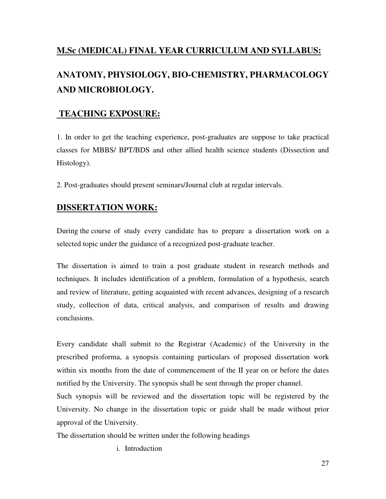# **M.Sc (MEDICAL) FINAL YEAR CURRICULUM AND SYLLABUS:**

# **ANATOMY, PHYSIOLOGY, BIO-CHEMISTRY, PHARMACOLOGY AND MICROBIOLOGY.**

# **TEACHING EXPOSURE:**

1. In order to get the teaching experience, post-graduates are suppose to take practical classes for MBBS/ BPT/BDS and other allied health science students (Dissection and Histology).

2. Post-graduates should present seminars/Journal club at regular intervals.

# **DISSERTATION WORK:**

During the course of study every candidate has to prepare a dissertation work on a selected topic under the guidance of a recognized post-graduate teacher.

The dissertation is aimed to train a post graduate student in research methods and techniques. It includes identification of a problem, formulation of a hypothesis, search and review of literature, getting acquainted with recent advances, designing of a research study, collection of data, critical analysis, and comparison of results and drawing conclusions.

Every candidate shall submit to the Registrar (Academic) of the University in the prescribed proforma, a synopsis containing particulars of proposed dissertation work within six months from the date of commencement of the II year on or before the dates notified by the University. The synopsis shall be sent through the proper channel.

Such synopsis will be reviewed and the dissertation topic will be registered by the University. No change in the dissertation topic or guide shall be made without prior approval of the University.

The dissertation should be written under the following headings

i. Introduction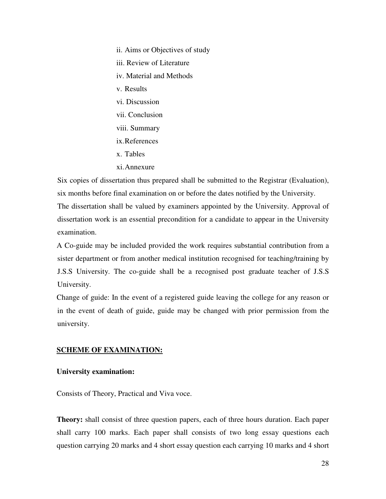ii. Aims or Objectives of study iii. Review of Literature iv. Material and Methods v. Results vi. Discussion vii. Conclusion viii. Summary ix. References x. Tables xi. Annexure

 Six copies of dissertation thus prepared shall be submitted to the Registrar (Evaluation), six months before final examination on or before the dates notified by the University. The dissertation shall be valued by examiners appointed by the University. Approval of dissertation work is an essential precondition for a candidate to appear in the University examination.

A Co-guide may be included provided the work requires substantial contribution from a sister department or from another medical institution recognised for teaching/training by J.S.S University. The co-guide shall be a recognised post graduate teacher of J.S.S University.

Change of guide: In the event of a registered guide leaving the college for any reason or in the event of death of guide, guide may be changed with prior permission from the university.

#### **SCHEME OF EXAMINATION:**

#### **University examination:**

Consists of Theory, Practical and Viva voce.

**Theory:** shall consist of three question papers, each of three hours duration. Each paper shall carry 100 marks. Each paper shall consists of two long essay questions each question carrying 20 marks and 4 short essay question each carrying 10 marks and 4 short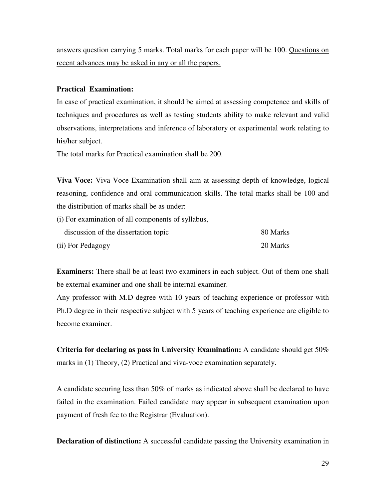answers question carrying 5 marks. Total marks for each paper will be 100. Questions on recent advances may be asked in any or all the papers.

#### **Practical Examination:**

In case of practical examination, it should be aimed at assessing competence and skills of techniques and procedures as well as testing students ability to make relevant and valid observations, interpretations and inference of laboratory or experimental work relating to his/her subject.

The total marks for Practical examination shall be 200.

**Viva Voce:** Viva Voce Examination shall aim at assessing depth of knowledge, logical reasoning, confidence and oral communication skills. The total marks shall be 100 and the distribution of marks shall be as under:

(i) For examination of all components of syllabus, discussion of the dissertation topic 80 Marks (ii) For Pedagogy 20 Marks

**Examiners:** There shall be at least two examiners in each subject. Out of them one shall be external examiner and one shall be internal examiner.

Any professor with M.D degree with 10 years of teaching experience or professor with Ph.D degree in their respective subject with 5 years of teaching experience are eligible to become examiner.

**Criteria for declaring as pass in University Examination:** A candidate should get 50% marks in (1) Theory, (2) Practical and viva-voce examination separately.

A candidate securing less than 50% of marks as indicated above shall be declared to have failed in the examination. Failed candidate may appear in subsequent examination upon payment of fresh fee to the Registrar (Evaluation).

**Declaration of distinction:** A successful candidate passing the University examination in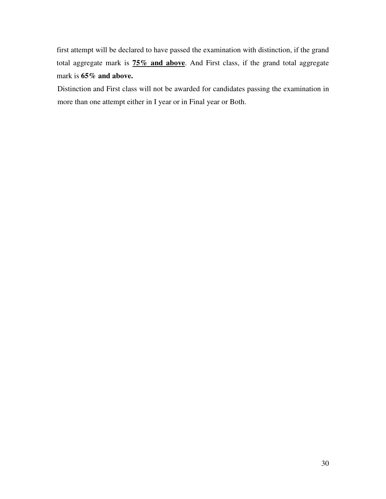first attempt will be declared to have passed the examination with distinction, if the grand total aggregate mark is **75% and above**. And First class, if the grand total aggregate mark is **65% and above.** 

 Distinction and First class will not be awarded for candidates passing the examination in more than one attempt either in I year or in Final year or Both.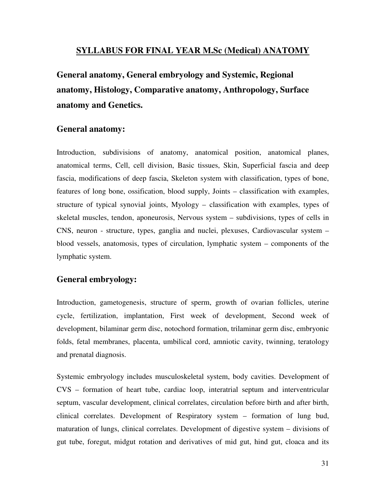### **SYLLABUS FOR FINAL YEAR M.Sc (Medical) ANATOMY**

**General anatomy, General embryology and Systemic, Regional anatomy, Histology, Comparative anatomy, Anthropology, Surface anatomy and Genetics.** 

### **General anatomy:**

Introduction, subdivisions of anatomy, anatomical position, anatomical planes, anatomical terms, Cell, cell division, Basic tissues, Skin, Superficial fascia and deep fascia, modifications of deep fascia, Skeleton system with classification, types of bone, features of long bone, ossification, blood supply, Joints – classification with examples, structure of typical synovial joints, Myology – classification with examples, types of skeletal muscles, tendon, aponeurosis, Nervous system – subdivisions, types of cells in CNS, neuron - structure, types, ganglia and nuclei, plexuses, Cardiovascular system – blood vessels, anatomosis, types of circulation, lymphatic system – components of the lymphatic system.

#### **General embryology:**

Introduction, gametogenesis, structure of sperm, growth of ovarian follicles, uterine cycle, fertilization, implantation, First week of development, Second week of development, bilaminar germ disc, notochord formation, trilaminar germ disc, embryonic folds, fetal membranes, placenta, umbilical cord, amniotic cavity, twinning, teratology and prenatal diagnosis.

Systemic embryology includes musculoskeletal system, body cavities. Development of CVS – formation of heart tube, cardiac loop, interatrial septum and interventricular septum, vascular development, clinical correlates, circulation before birth and after birth, clinical correlates. Development of Respiratory system – formation of lung bud, maturation of lungs, clinical correlates. Development of digestive system – divisions of gut tube, foregut, midgut rotation and derivatives of mid gut, hind gut, cloaca and its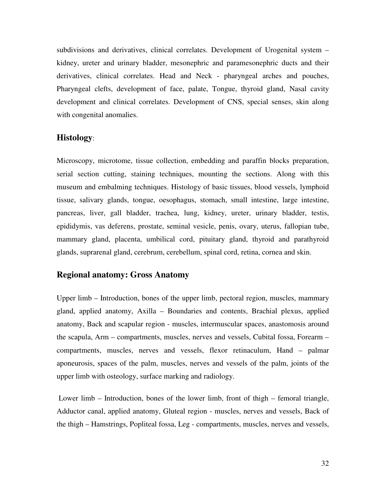subdivisions and derivatives, clinical correlates. Development of Urogenital system – kidney, ureter and urinary bladder, mesonephric and paramesonephric ducts and their derivatives, clinical correlates. Head and Neck - pharyngeal arches and pouches, Pharyngeal clefts, development of face, palate, Tongue, thyroid gland, Nasal cavity development and clinical correlates. Development of CNS, special senses, skin along with congenital anomalies.

#### **Histology**:

Microscopy, microtome, tissue collection, embedding and paraffin blocks preparation, serial section cutting, staining techniques, mounting the sections. Along with this museum and embalming techniques. Histology of basic tissues, blood vessels, lymphoid tissue, salivary glands, tongue, oesophagus, stomach, small intestine, large intestine, pancreas, liver, gall bladder, trachea, lung, kidney, ureter, urinary bladder, testis, epididymis, vas deferens, prostate, seminal vesicle, penis, ovary, uterus, fallopian tube, mammary gland, placenta, umbilical cord, pituitary gland, thyroid and parathyroid glands, suprarenal gland, cerebrum, cerebellum, spinal cord, retina, cornea and skin.

#### **Regional anatomy: Gross Anatomy**

Upper limb – Introduction, bones of the upper limb, pectoral region, muscles, mammary gland, applied anatomy, Axilla – Boundaries and contents, Brachial plexus, applied anatomy, Back and scapular region - muscles, intermuscular spaces, anastomosis around the scapula, Arm – compartments, muscles, nerves and vessels, Cubital fossa, Forearm – compartments, muscles, nerves and vessels, flexor retinaculum, Hand – palmar aponeurosis, spaces of the palm, muscles, nerves and vessels of the palm, joints of the upper limb with osteology, surface marking and radiology.

 Lower limb – Introduction, bones of the lower limb, front of thigh – femoral triangle, Adductor canal, applied anatomy, Gluteal region - muscles, nerves and vessels, Back of the thigh – Hamstrings, Popliteal fossa, Leg - compartments, muscles, nerves and vessels,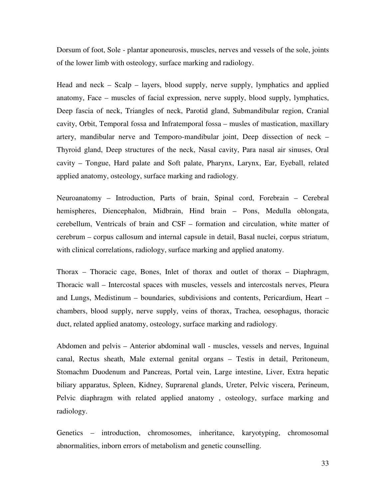Dorsum of foot, Sole - plantar aponeurosis, muscles, nerves and vessels of the sole, joints of the lower limb with osteology, surface marking and radiology.

Head and neck – Scalp – layers, blood supply, nerve supply, lymphatics and applied anatomy, Face – muscles of facial expression, nerve supply, blood supply, lymphatics, Deep fascia of neck, Triangles of neck, Parotid gland, Submandibular region, Cranial cavity, Orbit, Temporal fossa and Infratemporal fossa – musles of mastication, maxillary artery, mandibular nerve and Temporo-mandibular joint, Deep dissection of neck – Thyroid gland, Deep structures of the neck, Nasal cavity, Para nasal air sinuses, Oral cavity – Tongue, Hard palate and Soft palate, Pharynx, Larynx, Ear, Eyeball, related applied anatomy, osteology, surface marking and radiology.

Neuroanatomy – Introduction, Parts of brain, Spinal cord, Forebrain – Cerebral hemispheres, Diencephalon, Midbrain, Hind brain – Pons, Medulla oblongata, cerebellum, Ventricals of brain and CSF – formation and circulation, white matter of cerebrum – corpus callosum and internal capsule in detail, Basal nuclei, corpus striatum, with clinical correlations, radiology, surface marking and applied anatomy.

Thorax – Thoracic cage, Bones, Inlet of thorax and outlet of thorax – Diaphragm, Thoracic wall – Intercostal spaces with muscles, vessels and intercostals nerves, Pleura and Lungs, Medistinum – boundaries, subdivisions and contents, Pericardium, Heart – chambers, blood supply, nerve supply, veins of thorax, Trachea, oesophagus, thoracic duct, related applied anatomy, osteology, surface marking and radiology.

Abdomen and pelvis – Anterior abdominal wall - muscles, vessels and nerves, Inguinal canal, Rectus sheath, Male external genital organs – Testis in detail, Peritoneum, Stomachm Duodenum and Pancreas, Portal vein, Large intestine, Liver, Extra hepatic biliary apparatus, Spleen, Kidney, Suprarenal glands, Ureter, Pelvic viscera, Perineum, Pelvic diaphragm with related applied anatomy , osteology, surface marking and radiology.

Genetics – introduction, chromosomes, inheritance, karyotyping, chromosomal abnormalities, inborn errors of metabolism and genetic counselling.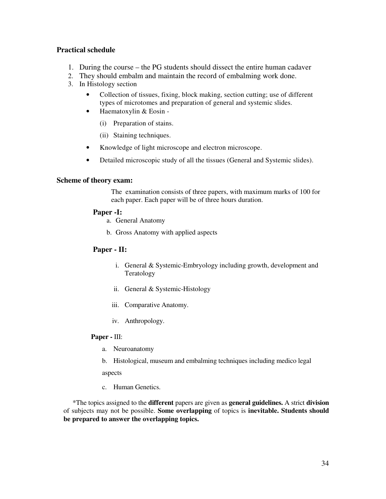#### **Practical schedule**

- 1. During the course the PG students should dissect the entire human cadaver
- 2. They should embalm and maintain the record of embalming work done.
- 3. In Histology section
	- Collection of tissues, fixing, block making, section cutting; use of different types of microtomes and preparation of general and systemic slides.
	- Haematoxylin & Eosin
		- (i) Preparation of stains.
		- (ii) Staining techniques.
	- Knowledge of light microscope and electron microscope.
	- Detailed microscopic study of all the tissues (General and Systemic slides).

#### **Scheme of theory exam:**

The examination consists of three papers, with maximum marks of 100 for each paper. Each paper will be of three hours duration.

#### **Paper -I:**

- a. General Anatomy
- b. Gross Anatomy with applied aspects

#### **Paper - II:**

- i. General & Systemic-Embryology including growth, development and Teratology
- ii. General & Systemic-Histology
- iii. Comparative Anatomy.
- iv. Anthropology.

#### **Paper -** III:

- a. Neuroanatomy
- b. Histological, museum and embalming techniques including medico legal

aspects

c. Human Genetics.

\*The topics assigned to the **different** papers are given as **general guidelines.** A strict **division**  of subjects may not be possible. **Some overlapping** of topics is **inevitable. Students should be prepared to answer the overlapping topics.**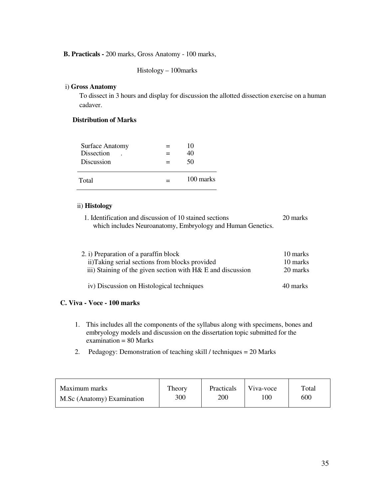#### **B. Practicals -** 200 marks, Gross Anatomy - 100 marks,

Histology – 100marks

#### i) **Gross Anatomy**

To dissect in 3 hours and display for discussion the allotted dissection exercise on a human cadaver.

#### **Distribution of Marks**

| Total | <b>Surface Anatomy</b><br>Dissection<br><b>Discussion</b> | 10<br>40<br>50 |
|-------|-----------------------------------------------------------|----------------|
|       |                                                           | 100 marks      |

#### ii) **Histology**

1. Identification and discussion of 10 stained sections 20 marks which includes Neuroanatomy, Embryology and Human Genetics.

| 2. i) Preparation of a paraffin block<br>ii)Taking serial sections from blocks provided | 10 marks<br>10 marks |
|-----------------------------------------------------------------------------------------|----------------------|
| iii) Staining of the given section with $H\&\,$ E and discussion                        | 20 marks             |
| iv) Discussion on Histological techniques                                               | 40 marks             |

#### **C. Viva - Voce - 100 marks**

- 1. This includes all the components of the syllabus along with specimens, bones and embryology models and discussion on the dissertation topic submitted for the  $examination = 80 Marks$
- 2. Pedagogy: Demonstration of teaching skill / techniques = 20 Marks

| Maximum marks              | Theory | Practicals | Viva-voce | Total |
|----------------------------|--------|------------|-----------|-------|
| M.Sc (Anatomy) Examination | 300    | 200        | 100       | 600   |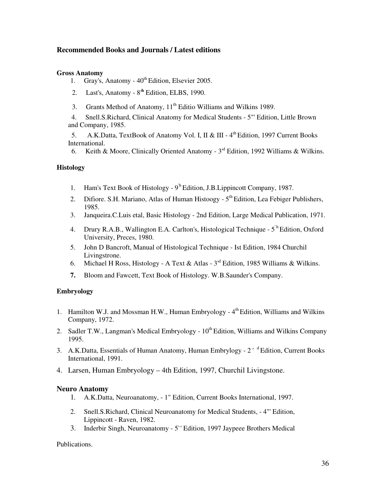#### **Recommended Books and Journals / Latest editions**

#### **Gross Anatomy**

- 1. Gray's, Anatomy  $40^{\text{th}}$  Edition, Elsevier 2005.
- 2. Last's, Anatomy 8'**<sup>h</sup>** Edition, ELBS, 1990.
- 3. Grants Method of Anatomy, 11<sup>th</sup> Editio Williams and Wilkins 1989.
- 4. Snell.S.Richard, Clinical Anatomy for Medical Students 5"' Edition, Little Brown and Company, 1985.

5. A.K.Datta, TextBook of Anatomy Vol. I, II & III - 4<sup>th</sup> Edition, 1997 Current Books International.

6. Keith & Moore, Clinically Oriented Anatomy - 3'<sup>d</sup> Edition, 1992 Williams & Wilkins.

#### **Histology**

- 1. Ham's Text Book of Histology 9<sup>th</sup> Edition, J.B. Lippincott Company, 1987.
- 2. Difiore. S.H. Mariano, Atlas of Human Histoogy  $5<sup>th</sup>$  Edition, Lea Febiger Publishers, 1985.
- 3. Janqueira.C.Luis etal, Basic Histology 2nd Edition, Large Medical Publication, 1971.
- 4. Drury R.A.B., Wallington E.A. Carlton's, Histological Technique 5`h Edition, Oxford University, Preces, 1980.
- 5. John D Bancroft, Manual of Histological Technique Ist Edition, 1984 Churchil Livingstrone.
- 6. Michael H Ross, Histology A Text & Atlas  $3<sup>rd</sup>$  Edition, 1985 Williams & Wilkins.
- **7.** Bloom and Fawcett, Text Book of Histology. W.B.Saunder's Company.

#### **Embryology**

- 1. Hamilton W.J. and Mossman H.W., Human Embryology 4<sup>th</sup> Edition, Williams and Wilkins Company, 1972.
- 2. Sadler T.W., Langman's Medical Embryology  $10^{th}$  Edition, Williams and Wilkins Company 1995.
- 3. A.K.Datta, Essentials of Human Anatomy, Human Embrylogy 2<sup>' d</sup> Edition, Current Books International, 1991.
- 4. Larsen, Human Embryology 4th Edition, 1997, Churchil Livingstone.

#### **Neuro Anatomy**

- 1. A.K.Datta, Neuroanatomy, 1" Edition, Current Books International, 1997.
- 2. Snell.S.Richard, Clinical Neuroanatomy for Medical Students, 4"' Edition, Lippincott - Raven, 1982.
- 3. Inderbir Singh, Neuroanatomy 5`' Edition, 1997 Jaypeee Brothers Medical

#### Publications.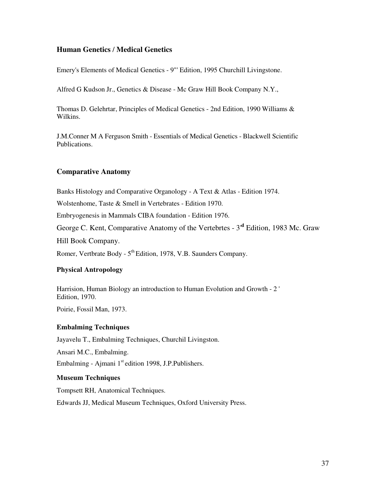#### **Human Genetics** / **Medical Genetics**

Emery's Elements of Medical Genetics - 9"' Edition, 1995 Churchill Livingstone.

Alfred G Kudson Jr., Genetics & Disease - Mc Graw Hill Book Company N.Y.,

Thomas D. Gelehrtar, Principles of Medical Genetics - 2nd Edition, 1990 Williams & Wilkins.

J.M.Conner M A Ferguson Smith - Essentials of Medical Genetics - Blackwell Scientific Publications.

#### **Comparative Anatomy**

Banks Histology and Comparative Organology - A Text & Atlas - Edition 1974.

Wolstenhome, Taste & Smell in Vertebrates - Edition 1970.

Embryogenesis in Mammals CIBA foundation - Edition 1976.

George C. Kent, Comparative Anatomy of the Vertebrtes - 3'**<sup>d</sup>** Edition, 1983 Mc. Graw

Hill Book Company.

Romer, Vertbrate Body -  $5<sup>th</sup>$  Edition, 1978, V.B. Saunders Company.

#### **Physical Antropology**

Harrision, Human Biology an introduction to Human Evolution and Growth - 2 ' Edition, 1970.

Poirie, Fossil Man, 1973.

#### **Embalming Techniques**

Jayavelu T., Embalming Techniques, Churchil Livingston.

Ansari M.C., Embalming.

Embalming - Ajmani  $1<sup>st</sup>$ edition 1998, J.P.Publishers.

#### **Museum Techniques**

Tompsett RH, Anatomical Techniques.

Edwards JJ, Medical Museum Techniques, Oxford University Press.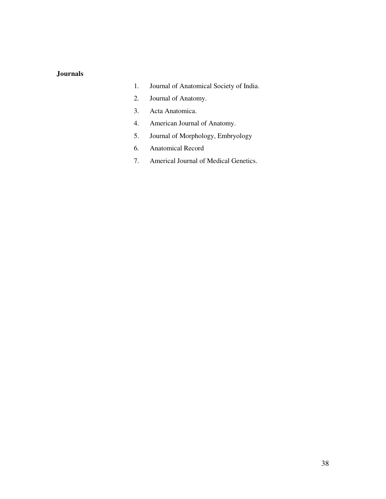#### **Journals**

- 1. Journal of Anatomical Society of India.
- 2. Journal of Anatomy.
- 3. Acta Anatomica.
- 4. American Journal of Anatomy.
- 5. Journal of Morphology, Embryology
- 6. Anatomical Record
- 7. Americal Journal of Medical Genetics.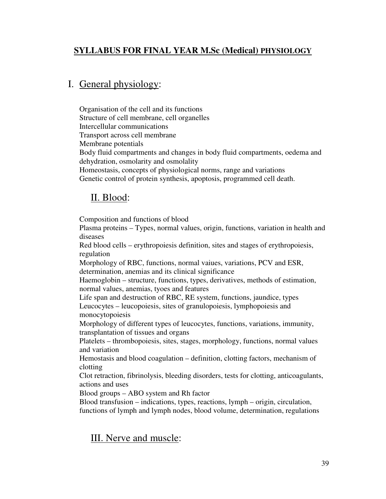# **SYLLABUS FOR FINAL YEAR M.Sc (Medical) PHYSIOLOGY**

# I. General physiology:

Organisation of the cell and its functions Structure of cell membrane, cell organelles Intercellular communications Transport across cell membrane Membrane potentials Body fluid compartments and changes in body fluid compartments, oedema and dehydration, osmolarity and osmolality Homeostasis, concepts of physiological norms, range and variations Genetic control of protein synthesis, apoptosis, programmed cell death.

# II. Blood:

Composition and functions of blood

Plasma proteins – Types, normal values, origin, functions, variation in health and diseases

Red blood cells – erythropoiesis definition, sites and stages of erythropoiesis, regulation

Morphology of RBC, functions, normal vaiues, variations, PCV and ESR, determination, anemias and its clinical significance

Haemoglobin – structure, functions, types, derivatives, methods of estimation, normal values, anemias, tyoes and features

Life span and destruction of RBC, RE system, functions, jaundice, types Leucocytes – leucopoiesis, sites of granulopoiesis, lymphopoiesis and monocytopoiesis

Morphology of different types of leucocytes, functions, variations, immunity, transplantation of tissues and organs

Platelets – thrombopoiesis, sites, stages, morphology, functions, normal values and variation

Hemostasis and blood coagulation – definition, clotting factors, mechanism of clotting

Clot retraction, fibrinolysis, bleeding disorders, tests for clotting, anticoagulants, actions and uses

Blood groups – ABO system and Rh factor

Blood transfusion – indications, types, reactions, lymph – origin, circulation, functions of lymph and lymph nodes, blood volume, determination, regulations

# III. Nerve and muscle: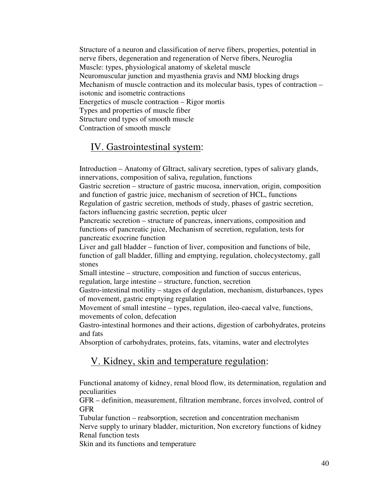Structure of a neuron and classification of nerve fibers, properties, potential in nerve fibers, degeneration and regeneration of Nerve fibers, Neuroglia Muscle: types, physiological anatomy of skeletal muscle Neuromuscular junction and myasthenia gravis and NMJ blocking drugs Mechanism of muscle contraction and its molecular basis, types of contraction – isotonic and isometric contractions Energetics of muscle contraction – Rigor mortis Types and properties of muscle fiber Structure ond types of smooth muscle Contraction of smooth muscle

# IV. Gastrointestinal system:

Introduction – Anatomy of GItract, salivary secretion, types of salivary glands, innervations, composition of saliva, regulation, functions

Gastric secretion – structure of gastric mucosa, innervation, origin, composition and function of gastric juice, mechanism of secretion of HCL, functions Regulation of gastric secretion, methods of study, phases of gastric secretion,

factors influencing gastric secretion, peptic ulcer

Pancreatic secretion – structure of pancreas, innervations, composition and functions of pancreatic juice, Mechanism of secretion, regulation, tests for pancreatic exocrine function

Liver and gall bladder – function of liver, composition and functions of bile, function of gall bladder, filling and emptying, regulation, cholecystectomy, gall stones

Small intestine – structure, composition and function of succus entericus, regulation, large intestine – structure, function, secretion

Gastro-intestinal motility – stages of degulation, mechanism, disturbances, types of movement, gastric emptying regulation

Movement of small intestine – types, regulation, ileo-caecal valve, functions, movements of colon, defecation

Gastro-intestinal hormones and their actions, digestion of carbohydrates, proteins and fats

Absorption of carbohydrates, proteins, fats, vitamins, water and electrolytes

# V. Kidney, skin and temperature regulation:

Functional anatomy of kidney, renal blood flow, its determination, regulation and peculiarities

GFR – definition, measurement, filtration membrane, forces involved, control of GFR

Tubular function – reabsorption, secretion and concentration mechanism Nerve supply to urinary bladder, micturition, Non excretory functions of kidney Renal function tests

Skin and its functions and temperature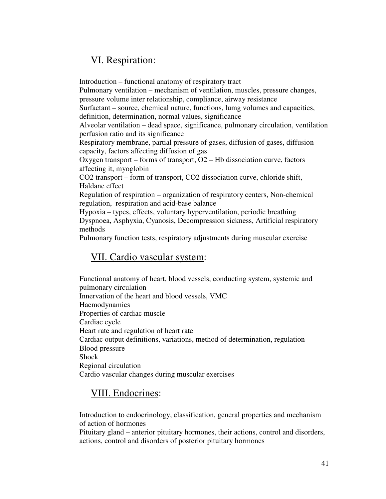# VI. Respiration:

Introduction – functional anatomy of respiratory tract Pulmonary ventilation – mechanism of ventilation, muscles, pressure changes, pressure volume inter relationship, compliance, airway resistance Surfactant – source, chemical nature, functions, lumg volumes and capacities, definition, determination, normal values, significance Alveolar ventilation – dead space, significance, pulmonary circulation, ventilation perfusion ratio and its significance Respiratory membrane, partial pressure of gases, diffusion of gases, diffusion capacity, factors affecting diffusion of gas Oxygen transport – forms of transport, O2 – Hb dissociation curve, factors affecting it, myoglobin CO2 transport – form of transport, CO2 dissociation curve, chloride shift, Haldane effect Regulation of respiration – organization of respiratory centers, Non-chemical regulation, respiration and acid-base balance Hypoxia – types, effects, voluntary hyperventilation, periodic breathing Dyspnoea, Asphyxia, Cyanosis, Decompression sickness, Artificial respiratory methods Pulmonary function tests, respiratory adjustments during muscular exercise

# VII. Cardio vascular system:

Functional anatomy of heart, blood vessels, conducting system, systemic and pulmonary circulation Innervation of the heart and blood vessels, VMC Haemodynamics Properties of cardiac muscle Cardiac cycle Heart rate and regulation of heart rate Cardiac output definitions, variations, method of determination, regulation Blood pressure Shock Regional circulation Cardio vascular changes during muscular exercises

# VIII. Endocrines:

Introduction to endocrinology, classification, general properties and mechanism of action of hormones

Pituitary gland – anterior pituitary hormones, their actions, control and disorders, actions, control and disorders of posterior pituitary hormones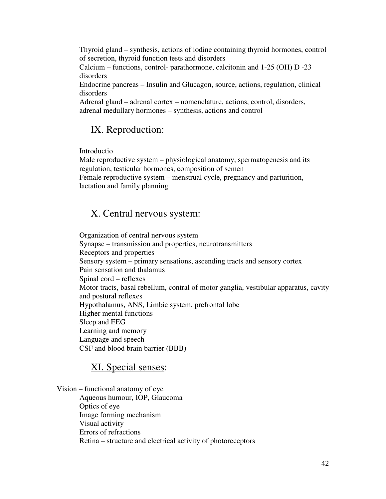Thyroid gland – synthesis, actions of iodine containing thyroid hormones, control of secretion, thyroid function tests and disorders

Calcium – functions, control- parathormone, calcitonin and 1-25 (OH) D -23 disorders

Endocrine pancreas – Insulin and Glucagon, source, actions, regulation, clinical disorders

Adrenal gland – adrenal cortex – nomenclature, actions, control, disorders, adrenal medullary hormones – synthesis, actions and control

# IX. Reproduction:

Introductio

Male reproductive system – physiological anatomy, spermatogenesis and its regulation, testicular hormones, composition of semen Female reproductive system – menstrual cycle, pregnancy and parturition, lactation and family planning

# X. Central nervous system:

Organization of central nervous system Synapse – transmission and properties, neurotransmitters Receptors and properties Sensory system – primary sensations, ascending tracts and sensory cortex Pain sensation and thalamus Spinal cord – reflexes Motor tracts, basal rebellum, contral of motor ganglia, vestibular apparatus, cavity and postural reflexes Hypothalamus, ANS, Limbic system, prefrontal lobe Higher mental functions Sleep and EEG Learning and memory Language and speech CSF and blood brain barrier (BBB)

# XI. Special senses:

Vision – functional anatomy of eye Aqueous humour, IOP, Glaucoma Optics of eye Image forming mechanism Visual activity Errors of refractions Retina – structure and electrical activity of photoreceptors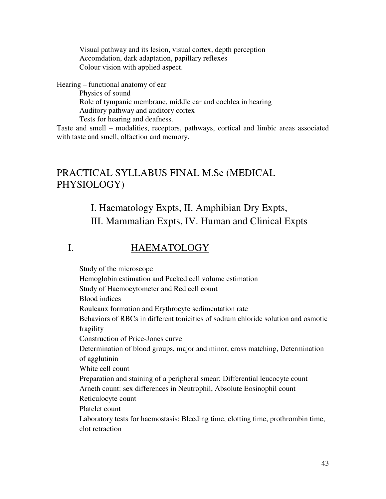Visual pathway and its lesion, visual cortex, depth perception Accomdation, dark adaptation, papillary reflexes Colour vision with applied aspect.

Hearing – functional anatomy of ear

Physics of sound Role of tympanic membrane, middle ear and cochlea in hearing Auditory pathway and auditory cortex Tests for hearing and deafness.

Taste and smell – modalities, receptors, pathways, cortical and limbic areas associated with taste and smell, olfaction and memory.

# PRACTICAL SYLLABUS FINAL M.Sc (MEDICAL PHYSIOLOGY)

# I. Haematology Expts, II. Amphibian Dry Expts, III. Mammalian Expts, IV. Human and Clinical Expts

# I. HAEMATOLOGY

Study of the microscope Hemoglobin estimation and Packed cell volume estimation Study of Haemocytometer and Red cell count Blood indices Rouleaux formation and Erythrocyte sedimentation rate Behaviors of RBCs in different tonicities of sodium chloride solution and osmotic fragility Construction of Price-Jones curve Determination of blood groups, major and minor, cross matching, Determination of agglutinin White cell count Preparation and staining of a peripheral smear: Differential leucocyte count Arneth count: sex differences in Neutrophil, Absolute Eosinophil count Reticulocyte count Platelet count Laboratory tests for haemostasis: Bleeding time, clotting time, prothrombin time, clot retraction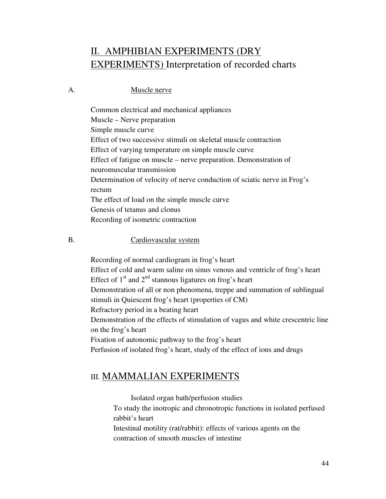# II. AMPHIBIAN EXPERIMENTS (DRY EXPERIMENTS) Interpretation of recorded charts

### A. Muscle nerve

Common electrical and mechanical appliances Muscle – Nerve preparation Simple muscle curve Effect of two successive stimuli on skeletal muscle contraction Effect of varying temperature on simple muscle curve Effect of fatigue on muscle – nerve preparation. Demonstration of neuromuscular transmission Determination of velocity of nerve conduction of sciatic nerve in Frog's rectum The effect of load on the simple muscle curve Genesis of tetanus and clonus Recording of isometric contraction

#### B. Cardiovascular system

Recording of normal cardiogram in frog's heart Effect of cold and warm saline on sinus venous and ventricle of frog's heart Effect of  $1<sup>st</sup>$  and  $2<sup>nd</sup>$  stannous ligatures on frog's heart Demonstration of all or non phenomena, treppe and summation of sublingual stimuli in Quiescent frog's heart (properties of CM) Refractory period in a beating heart Demonstration of the effects of stimulation of vagus and white crescentric line on the frog's heart Fixation of autonomic pathway to the frog's heart Perfusion of isolated frog's heart, study of the effect of ions and drugs

# III. MAMMALIAN EXPERIMENTS

 Isolated organ bath/perfusion studies To study the inotropic and chronotropic functions in isolated perfused rabbit's heart Intestinal motility (rat/rabbit): effects of various agents on the

contraction of smooth muscles of intestine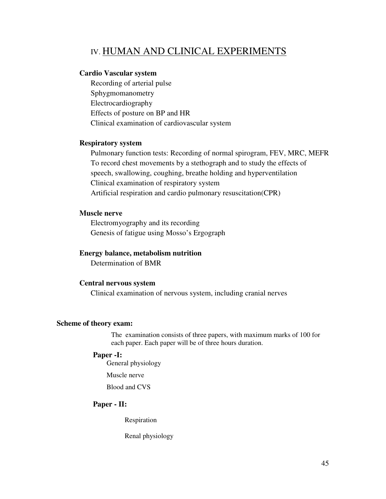# IV. HUMAN AND CLINICAL EXPERIMENTS

#### **Cardio Vascular system**

Recording of arterial pulse Sphygmomanometry Electrocardiography Effects of posture on BP and HR Clinical examination of cardiovascular system

#### **Respiratory system**

Pulmonary function tests: Recording of normal spirogram, FEV, MRC, MEFR To record chest movements by a stethograph and to study the effects of speech, swallowing, coughing, breathe holding and hyperventilation Clinical examination of respiratory system Artificial respiration and cardio pulmonary resuscitation(CPR)

#### **Muscle nerve**

Electromyography and its recording Genesis of fatigue using Mosso's Ergograph

#### **Energy balance, metabolism nutrition**

Determination of BMR

#### **Central nervous system**

Clinical examination of nervous system, including cranial nerves

#### **Scheme of theory exam:**

The examination consists of three papers, with maximum marks of 100 for each paper. Each paper will be of three hours duration.

#### **Paper -I:**

General physiology

Muscle nerve

Blood and CVS

#### **Paper - II:**

Respiration

Renal physiology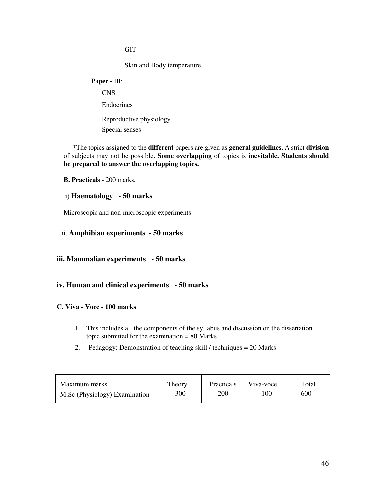#### **GIT**

Skin and Body temperature

# **Paper -** III: CNS Endocrines Reproductive physiology.

Special senses

\*The topics assigned to the **different** papers are given as **general guidelines.** A strict **division**  of subjects may not be possible. **Some overlapping** of topics is **inevitable. Students should be prepared to answer the overlapping topics.** 

**B. Practicals -** 200 marks,

#### i) **Haematology - 50 marks**

Microscopic and non-microscopic experiments

#### ii. **Amphibian experiments - 50 marks**

#### **iii. Mammalian experiments - 50 marks**

#### **iv. Human and clinical experiments - 50 marks**

#### **C. Viva - Voce - 100 marks**

- 1. This includes all the components of the syllabus and discussion on the dissertation topic submitted for the examination = 80 Marks
- 2. Pedagogy: Demonstration of teaching skill / techniques = 20 Marks

| Maximum marks                 | Theory | <b>Practicals</b> | Viva-voce | Total |
|-------------------------------|--------|-------------------|-----------|-------|
| M.Sc (Physiology) Examination | 300    | 200               | $.00\,$   | 600   |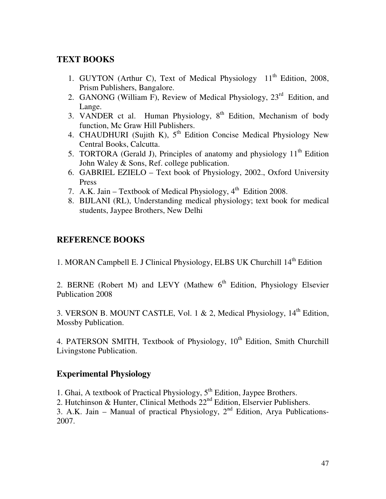# **TEXT BOOKS**

- 1. GUYTON (Arthur C), Text of Medical Physiology  $11<sup>th</sup>$  Edition, 2008, Prism Publishers, Bangalore.
- 2. GANONG (William F), Review of Medical Physiology, 23<sup>rd</sup> Edition, and Lange.
- 3. VANDER ct al. Human Physiology,  $8<sup>th</sup>$  Edition, Mechanism of body function, Mc Graw Hill Publishers.
- 4. CHAUDHURI (Sujith K),  $5<sup>th</sup>$  Edition Concise Medical Physiology New Central Books, Calcutta.
- 5. TORTORA (Gerald J), Principles of anatomy and physiology  $11<sup>th</sup>$  Edition John Waley & Sons, Ref. college publication.
- 6. GABRIEL EZIELO Text book of Physiology, 2002., Oxford University Press
- 7. A.K. Jain Textbook of Medical Physiology,  $4<sup>th</sup>$  Edition 2008.
- 8. BIJLANI (RL), Understanding medical physiology; text book for medical students, Jaypee Brothers, New Delhi

# **REFERENCE BOOKS**

1. MORAN Campbell E. J Clinical Physiology, ELBS UK Churchill 14<sup>th</sup> Edition

2. BERNE (Robert M) and LEVY (Mathew  $6<sup>th</sup>$  Edition, Physiology Elsevier Publication 2008

3. VERSON B. MOUNT CASTLE, Vol. 1 & 2, Medical Physiology,  $14<sup>th</sup>$  Edition, Mossby Publication.

4. PATERSON SMITH, Textbook of Physiology, 10<sup>th</sup> Edition, Smith Churchill Livingstone Publication.

# **Experimental Physiology**

1. Ghai, A textbook of Practical Physiology,  $5^{th}$  Edition, Jaypee Brothers.

2. Hutchinson & Hunter, Clinical Methods  $22<sup>nd</sup>$  Edition, Elservier Publishers.

3. A.K. Jain – Manual of practical Physiology,  $2<sup>nd</sup>$  Edition, Arya Publications-2007.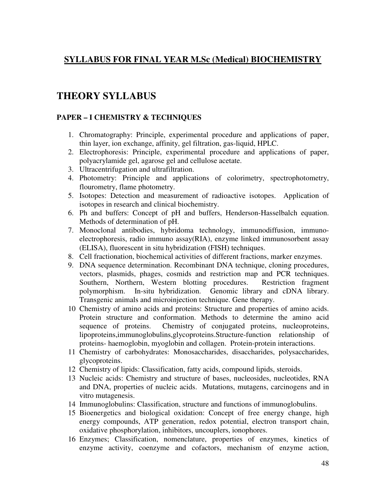# **SYLLABUS FOR FINAL YEAR M.Sc (Medical) BIOCHEMISTRY**

# **THEORY SYLLABUS**

### **PAPER – I CHEMISTRY & TECHNIQUES**

- 1. Chromatography: Principle, experimental procedure and applications of paper, thin layer, ion exchange, affinity, gel filtration, gas-liquid, HPLC.
- 2. Electrophoresis: Principle, experimental procedure and applications of paper, polyacrylamide gel, agarose gel and cellulose acetate.
- 3. Ultracentrifugation and ultrafiltration.
- 4. Photometry: Principle and applications of colorimetry, spectrophotometry, flourometry, flame photometry.
- 5. Isotopes: Detection and measurement of radioactive isotopes. Application of isotopes in research and clinical biochemistry.
- 6. Ph and buffers: Concept of pH and buffers, Henderson-Hasselbalch equation. Methods of determination of pH.
- 7. Monoclonal antibodies, hybridoma technology, immunodiffusion, immunoelectrophoresis, radio immuno assay(RIA), enzyme linked immunosorbent assay (ELISA), fluorescent in situ hybridization (FISH) techniques.
- 8. Cell fractionation, biochemical activities of different fractions, marker enzymes.
- 9. DNA sequence determination. Recombinant DNA technique, cloning procedures, vectors, plasmids, phages, cosmids and restriction map and PCR techniques. Southern, Northern, Western blotting procedures. Restriction fragment polymorphism. In-situ hybridization. Genomic library and cDNA library. Transgenic animals and microinjection technique. Gene therapy.
- 10 Chemistry of amino acids and proteins: Structure and properties of amino acids. Protein structure and conformation. Methods to determine the amino acid sequence of proteins. Chemistry of conjugated proteins, nucleoproteins, lipoproteins,immunoglobulins,glycoproteins.Structure-function relationship of proteins- haemoglobin, myoglobin and collagen. Protein-protein interactions.
- 11 Chemistry of carbohydrates: Monosaccharides, disaccharides, polysaccharides, glycoproteins.
- 12 Chemistry of lipids: Classification, fatty acids, compound lipids, steroids.
- 13 Nucleic acids: Chemistry and structure of bases, nucleosides, nucleotides, RNA and DNA, properties of nucleic acids. Mutations, mutagens, carcinogens and in vitro mutagenesis.
- 14 Immunoglobulins: Classification, structure and functions of immunoglobulins.
- 15 Bioenergetics and biological oxidation: Concept of free energy change, high energy compounds, ATP generation, redox potential, electron transport chain, oxidative phosphorylation, inhibitors, uncouplers, ionophores.
- 16 Enzymes; Classification, nomenclature, properties of enzymes, kinetics of enzyme activity, coenzyme and cofactors, mechanism of enzyme action,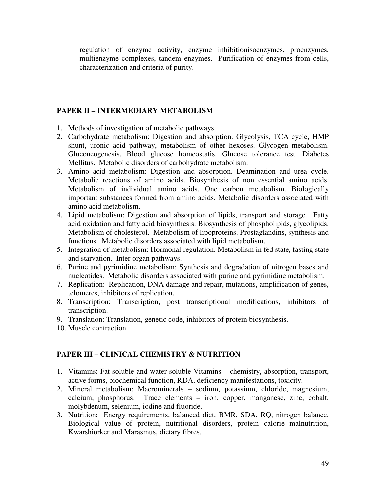regulation of enzyme activity, enzyme inhibitionisoenzymes, proenzymes, multienzyme complexes, tandem enzymes. Purification of enzymes from cells, characterization and criteria of purity.

#### **PAPER II – INTERMEDIARY METABOLISM**

- 1. Methods of investigation of metabolic pathways.
- 2. Carbohydrate metabolism: Digestion and absorption. Glycolysis, TCA cycle, HMP shunt, uronic acid pathway, metabolism of other hexoses. Glycogen metabolism. Gluconeogenesis. Blood glucose homeostatis. Glucose tolerance test. Diabetes Mellitus. Metabolic disorders of carbohydrate metabolism.
- 3. Amino acid metabolism: Digestion and absorption. Deamination and urea cycle. Metabolic reactions of amino acids. Biosynthesis of non essential amino acids. Metabolism of individual amino acids. One carbon metabolism. Biologically important substances formed from amino acids. Metabolic disorders associated with amino acid metabolism.
- 4. Lipid metabolism: Digestion and absorption of lipids, transport and storage. Fatty acid oxidation and fatty acid biosynthesis. Biosynthesis of phospholipids, glycolipids. Metabolism of cholesterol. Metabolism of lipoproteins. Prostaglandins, synthesis and functions. Metabolic disorders associated with lipid metabolism.
- 5. Integration of metabolism: Hormonal regulation. Metabolism in fed state, fasting state and starvation. Inter organ pathways.
- 6. Purine and pyrimidine metabolism: Synthesis and degradation of nitrogen bases and nucleotides. Metabolic disorders associated with purine and pyrimidine metabolism.
- 7. Replication: Replication, DNA damage and repair, mutations, amplification of genes, telomeres, inhibitors of replication.
- 8. Transcription: Transcription, post transcriptional modifications, inhibitors of transcription.
- 9. Translation: Translation, genetic code, inhibitors of protein biosynthesis.
- 10. Muscle contraction.

### **PAPER III – CLINICAL CHEMISTRY & NUTRITION**

- 1. Vitamins: Fat soluble and water soluble Vitamins chemistry, absorption, transport, active forms, biochemical function, RDA, deficiency manifestations, toxicity.
- 2. Mineral metabolism: Macrominerals sodium, potassium, chloride, magnesium, calcium, phosphorus. Trace elements – iron, copper, manganese, zinc, cobalt, molybdenum, selenium, iodine and fluoride.
- 3. Nutrition: Energy requirements, balanced diet, BMR, SDA, RQ, nitrogen balance, Biological value of protein, nutritional disorders, protein calorie malnutrition, Kwarshiorker and Marasmus, dietary fibres.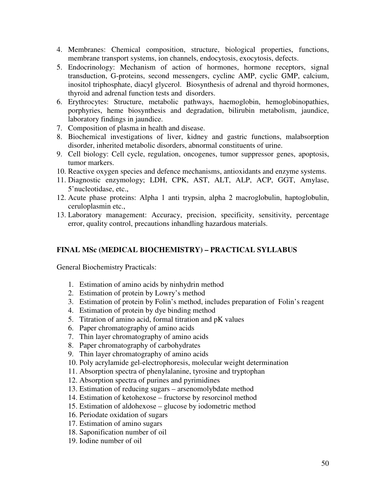- 4. Membranes: Chemical composition, structure, biological properties, functions, membrane transport systems, ion channels, endocytosis, exocytosis, defects.
- 5. Endocrinology: Mechanism of action of hormones, hormone receptors, signal transduction, G-proteins, second messengers, cyclinc AMP, cyclic GMP, calcium, inositol triphosphate, diacyl glycerol. Biosynthesis of adrenal and thyroid hormones, thyroid and adrenal function tests and disorders.
- 6. Erythrocytes: Structure, metabolic pathways, haemoglobin, hemoglobinopathies, porphyries, heme biosynthesis and degradation, bilirubin metabolism, jaundice, laboratory findings in jaundice.
- 7. Composition of plasma in health and disease.
- 8. Biochemical investigations of liver, kidney and gastric functions, malabsorption disorder, inherited metabolic disorders, abnormal constituents of urine.
- 9. Cell biology: Cell cycle, regulation, oncogenes, tumor suppressor genes, apoptosis, tumor markers.
- 10. Reactive oxygen species and defence mechanisms, antioxidants and enzyme systems.
- 11. Diagnostic enzymology; LDH, CPK, AST, ALT, ALP, ACP, GGT, Amylase, 5'nucleotidase, etc.,
- 12. Acute phase proteins: Alpha 1 anti trypsin, alpha 2 macroglobulin, haptoglobulin, ceruloplasmin etc.,
- 13. Laboratory management: Accuracy, precision, specificity, sensitivity, percentage error, quality control, precautions inhandling hazardous materials.

### **FINAL MSc (MEDICAL BIOCHEMISTRY) – PRACTICAL SYLLABUS**

General Biochemistry Practicals:

- 1. Estimation of amino acids by ninhydrin method
- 2. Estimation of protein by Lowry's method
- 3. Estimation of protein by Folin's method, includes preparation of Folin's reagent
- 4. Estimation of protein by dye binding method
- 5. Titration of amino acid, formal titration and pK values
- 6. Paper chromatography of amino acids
- 7. Thin layer chromatography of amino acids
- 8. Paper chromatography of carbohydrates
- 9. Thin layer chromatography of amino acids
- 10. Poly acrylamide gel-electrophoresis, molecular weight determination
- 11. Absorption spectra of phenylalanine, tyrosine and tryptophan
- 12. Absorption spectra of purines and pyrimidines
- 13. Estimation of reducing sugars arsenomolybdate method
- 14. Estimation of ketohexose fructorse by resorcinol method
- 15. Estimation of aldohexose glucose by iodometric method
- 16. Periodate oxidation of sugars
- 17. Estimation of amino sugars
- 18. Saponification number of oil
- 19. Iodine number of oil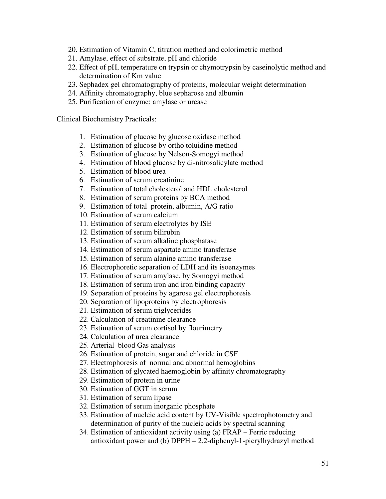- 20. Estimation of Vitamin C, titration method and colorimetric method
- 21. Amylase, effect of substrate, pH and chloride
- 22. Effect of pH, temperature on trypsin or chymotrypsin by caseinolytic method and determination of Km value
- 23. Sephadex gel chromatography of proteins, molecular weight determination
- 24. Affinity chromatography, blue sepharose and albumin
- 25. Purification of enzyme: amylase or urease

Clinical Biochemistry Practicals:

- 1. Estimation of glucose by glucose oxidase method
- 2. Estimation of glucose by ortho toluidine method
- 3. Estimation of glucose by Nelson-Somogyi method
- 4. Estimation of blood glucose by di-nitrosalicylate method
- 5. Estimation of blood urea
- 6. Estimation of serum creatinine
- 7. Estimation of total cholesterol and HDL cholesterol
- 8. Estimation of serum proteins by BCA method
- 9. Estimation of total protein, albumin, A/G ratio
- 10. Estimation of serum calcium
- 11. Estimation of serum electrolytes by ISE
- 12. Estimation of serum bilirubin
- 13. Estimation of serum alkaline phosphatase
- 14. Estimation of serum aspartate amino transferase
- 15. Estimation of serum alanine amino transferase
- 16. Electrophoretic separation of LDH and its isoenzymes
- 17. Estimation of serum amylase, by Somogyi method
- 18. Estimation of serum iron and iron binding capacity
- 19. Separation of proteins by agarose gel electrophoresis
- 20. Separation of lipoproteins by electrophoresis
- 21. Estimation of serum triglycerides
- 22. Calculation of creatinine clearance
- 23. Estimation of serum cortisol by flourimetry
- 24. Calculation of urea clearance
- 25. Arterial blood Gas analysis
- 26. Estimation of protein, sugar and chloride in CSF
- 27. Electrophoresis of normal and abnormal hemoglobins
- 28. Estimation of glycated haemoglobin by affinity chromatography
- 29. Estimation of protein in urine
- 30. Estimation of GGT in serum
- 31. Estimation of serum lipase
- 32. Estimation of serum inorganic phosphate
- 33. Estimation of nucleic acid content by UV-Visible spectrophotometry and determination of purity of the nucleic acids by spectral scanning
- 34. Estimation of antioxidant activity using (a) FRAP Ferric reducing antioxidant power and (b) DPPH – 2,2-diphenyl-1-picrylhydrazyl method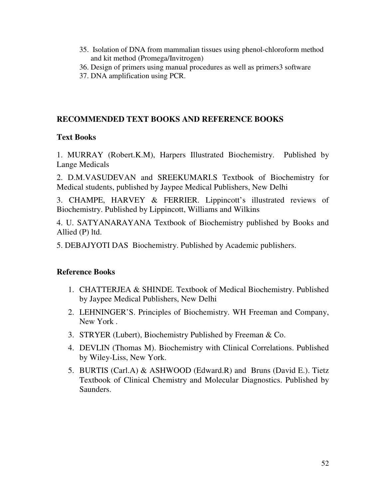- 35. Isolation of DNA from mammalian tissues using phenol-chloroform method and kit method (Promega/Invitrogen)
- 36. Design of primers using manual procedures as well as primers3 software
- 37. DNA amplification using PCR.

# **RECOMMENDED TEXT BOOKS AND REFERENCE BOOKS**

# **Text Books**

1. MURRAY (Robert.K.M), Harpers Illustrated Biochemistry. Published by Lange Medicals

2. D.M.VASUDEVAN and SREEKUMARI.S Textbook of Biochemistry for Medical students, published by Jaypee Medical Publishers, New Delhi

3. CHAMPE, HARVEY & FERRIER. Lippincott's illustrated reviews of Biochemistry. Published by Lippincott, Williams and Wilkins

4. U. SATYANARAYANA Textbook of Biochemistry published by Books and Allied (P) ltd.

5. DEBAJYOTI DAS Biochemistry. Published by Academic publishers.

# **Reference Books**

- 1. CHATTERJEA & SHINDE. Textbook of Medical Biochemistry. Published by Jaypee Medical Publishers, New Delhi
- 2. LEHNINGER'S. Principles of Biochemistry. WH Freeman and Company, New York .
- 3. STRYER (Lubert), Biochemistry Published by Freeman & Co.
- 4. DEVLIN (Thomas M). Biochemistry with Clinical Correlations. Published by Wiley-Liss, New York.
- 5. BURTIS (Carl.A) & ASHWOOD (Edward.R) and Bruns (David E.). Tietz Textbook of Clinical Chemistry and Molecular Diagnostics. Published by Saunders.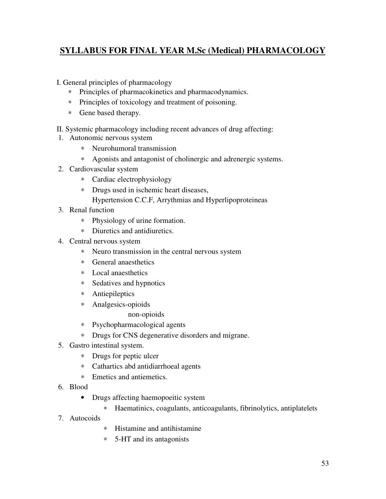# **SYLLABUS FOR FINAL YEAR M.Sc (Medical) PHARMACOLOGY**

- I. General principles of pharmacology
	- ∗ Principles of pharmacokinetics and pharmacodynamics.
	- ∗ Principles of toxicology and treatment of poisoning.
	- ∗ Gene based therapy.
- II. Systemic pharmacology including recent advances of drug affecting:
- 1. Autonomic nervous system
	- ∗ Neurohumoral transmission
	- ∗ Agonists and antagonist of cholinergic and adrenergic systems.
- 2. Cardiovascular system
	- ∗ Cardiac electrophysiology
	- ∗ Drugs used in ischemic heart diseases, Hypertension C.C.F, Arrythmias and Hyperlipoproteineas
- 3. Renal function
	- ∗ Physiology of urine formation.
	- ∗ Diuretics and antidiuretics.
- 4. Central nervous system
	- ∗ Neuro transmission in the central nervous system
	- ∗ General anaesthetics
	- ∗ Local anaesthetics
	- ∗ Sedatives and hypnotics
	- ∗ Antiepileptics
	- ∗ Analgesics-opioids

non-opioids

- ∗ Psychopharmacological agents
- ∗ Drugs for CNS degenerative disorders and migrane.
- 5. Gastro intestinal system.
	- ∗ Drugs for peptic ulcer
	- ∗ Cathartics abd antidiarrhoeal agents
	- ∗ Emetics and antiemetics.
- 6. Blood
	- Drugs affecting haemopoeitic system
		- ∗ Haematinics, coagulants, anticoagulants, fibrinolytics, antiplatelets
- 7. Autocoids
- ∗ Histamine and antihistamine
- ∗ 5-HT and its antagonists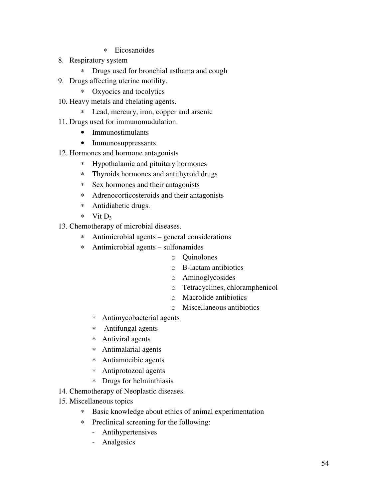- ∗ Eicosanoides
- 8. Respiratory system
	- ∗ Drugs used for bronchial asthama and cough
- 9. Drugs affecting uterine motility.
	- ∗ Oxyocics and tocolytics
- 10. Heavy metals and chelating agents.
	- ∗ Lead, mercury, iron, copper and arsenic
- 11. Drugs used for immunomudulation.
	- Immunostimulants
	- Immunosuppressants.
- 12. Hormones and hormone antagonists
	- ∗ Hypothalamic and pituitary hormones
	- ∗ Thyroids hormones and antithyroid drugs
	- ∗ Sex hormones and their antagonists
	- ∗ Adrenocorticosteroids and their antagonists
	- ∗ Antidiabetic drugs.
	- ∗ Vit D<sup>3</sup>
- 13. Chemotherapy of microbial diseases.
	- ∗ Antimicrobial agents general considerations
	- ∗ Antimicrobial agents sulfonamides
		- o Quinolones
		- o B-lactam antibiotics
		- o Aminoglycosides
		- o Tetracyclines, chloramphenicol
		- o Macrolide antibiotics
		- o Miscellaneous antibiotics
		- ∗ Antimycobacterial agents
		- ∗ Antifungal agents
		- ∗ Antiviral agents
		- ∗ Antimalarial agents
		- ∗ Antiamoeibic agents
		- ∗ Antiprotozoal agents
		- ∗ Drugs for helminthiasis
- 14. Chemotherapy of Neoplastic diseases.
- 15. Miscellaneous topics
	- ∗ Basic knowledge about ethics of animal experimentation
	- ∗ Preclinical screening for the following:
		- Antihypertensives
		- Analgesics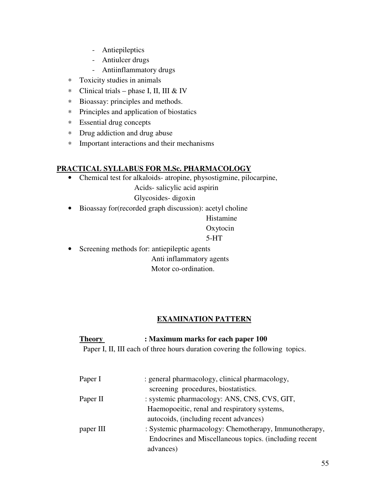- Antiepileptics
- Antiulcer drugs
- Antiinflammatory drugs
- ∗ Toxicity studies in animals
- ∗ Clinical trials phase I, II, III & IV
- ∗ Bioassay: principles and methods.
- ∗ Principles and application of biostatics
- ∗ Essential drug concepts
- ∗ Drug addiction and drug abuse
- ∗ Important interactions and their mechanisms

# **PRACTICAL SYLLABUS FOR M.Sc. PHARMACOLOGY**

• Chemical test for alkaloids- atropine, physostigmine, pilocarpine,

Acids- salicylic acid aspirin

Glycosides- digoxin

• Bioassay for(recorded graph discussion): acetyl choline

 Histamine Oxytocin 5-HT

• Screening methods for: antiepileptic agents Anti inflammatory agents Motor co-ordination.

# **EXAMINATION PATTERN**

# **Theory : Maximum marks for each paper 100**

Paper I, II, III each of three hours duration covering the following topics.

| Paper I   | : general pharmacology, clinical pharmacology,         |
|-----------|--------------------------------------------------------|
|           | screening procedures, biostatistics.                   |
| Paper II  | : systemic pharmacology: ANS, CNS, CVS, GIT,           |
|           | Haemopoeitic, renal and respiratory systems,           |
|           | autocoids, (including recent advances)                 |
| paper III | : Systemic pharmacology: Chemotherapy, Immunotherapy,  |
|           | Endocrines and Miscellaneous topics. (including recent |
|           | advances)                                              |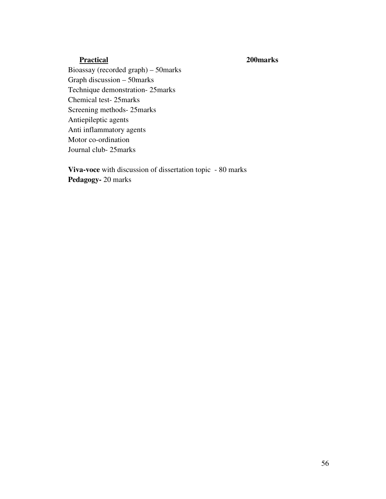### **Practical 200marks**

Bioassay (recorded graph) – 50marks Graph discussion – 50marks Technique demonstration- 25marks Chemical test- 25marks Screening methods- 25marks Antiepileptic agents Anti inflammatory agents Motor co-ordination Journal club- 25marks

**Viva-voce** with discussion of dissertation topic - 80 marks **Pedagogy-** 20 marks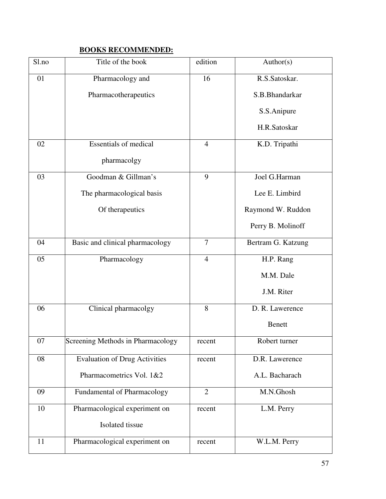# **BOOKS RECOMMENDED:**

| Sl.no | Title of the book                    | edition        | Author(s)          |
|-------|--------------------------------------|----------------|--------------------|
| 01    | Pharmacology and                     | 16             | R.S.Satoskar.      |
|       | Pharmacotherapeutics                 |                | S.B.Bhandarkar     |
|       |                                      |                | S.S.Anipure        |
|       |                                      |                | H.R.Satoskar       |
| 02    | <b>Essentials of medical</b>         | $\overline{4}$ | K.D. Tripathi      |
|       | pharmacolgy                          |                |                    |
| 03    | Goodman & Gillman's                  | 9              | Joel G.Harman      |
|       | The pharmacological basis            |                | Lee E. Limbird     |
|       | Of therapeutics                      |                | Raymond W. Ruddon  |
|       |                                      |                | Perry B. Molinoff  |
| 04    | Basic and clinical pharmacology      | 7              | Bertram G. Katzung |
| 05    | Pharmacology                         | $\overline{4}$ | H.P. Rang          |
|       |                                      |                | M.M. Dale          |
|       |                                      |                | J.M. Riter         |
| 06    | Clinical pharmacolgy                 | 8              | D. R. Lawerence    |
|       |                                      |                | <b>Benett</b>      |
| 07    | Screening Methods in Pharmacology    | recent         | Robert turner      |
| 08    | <b>Evaluation of Drug Activities</b> | recent         | D.R. Lawerence     |
|       | Pharmacometrics Vol. 1&2             |                | A.L. Bacharach     |
| 09    | Fundamental of Pharmacology          | $\overline{2}$ | M.N.Ghosh          |
| 10    | Pharmacological experiment on        | recent         | L.M. Perry         |
|       | Isolated tissue                      |                |                    |
| 11    | Pharmacological experiment on        | recent         | W.L.M. Perry       |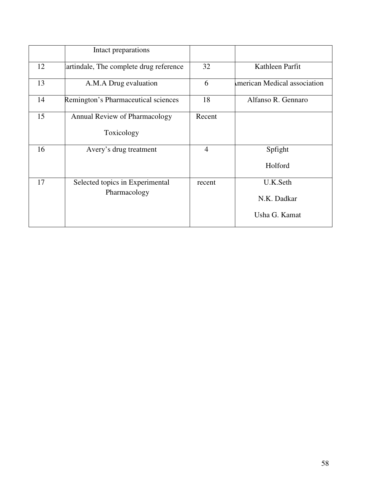|    | Intact preparations                             |                |                                          |
|----|-------------------------------------------------|----------------|------------------------------------------|
| 12 | artindale, The complete drug reference          | 32             | Kathleen Parfit                          |
| 13 | A.M.A Drug evaluation                           | 6              | merican Medical association              |
| 14 | Remington's Pharmaceutical sciences             | 18             | Alfanso R. Gennaro                       |
| 15 | Annual Review of Pharmacology<br>Toxicology     | Recent         |                                          |
| 16 | Avery's drug treatment                          | $\overline{4}$ | Spfight<br>Holford                       |
| 17 | Selected topics in Experimental<br>Pharmacology | recent         | U.K.Seth<br>N.K. Dadkar<br>Usha G. Kamat |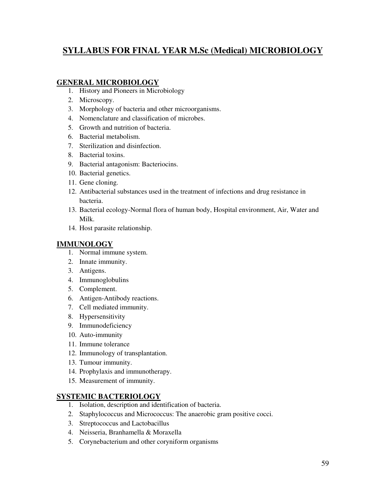# **SYLLABUS FOR FINAL YEAR M.Sc (Medical) MICROBIOLOGY**

### **GENERAL MICROBIOLOGY**

- 1. History and Pioneers in Microbiology
- 2. Microscopy.
- 3. Morphology of bacteria and other microorganisms.
- 4. Nomenclature and classification of microbes.
- 5. Growth and nutrition of bacteria.
- 6. Bacterial metabolism.
- 7. Sterilization and disinfection.
- 8. Bacterial toxins.
- 9. Bacterial antagonism: Bacteriocins.
- 10. Bacterial genetics.
- 11. Gene cloning.
- 12. Antibacterial substances used in the treatment of infections and drug resistance in bacteria.
- 13. Bacterial ecology-Normal flora of human body, Hospital environment, Air, Water and Milk.
- 14. Host parasite relationship.

#### **IMMUNOLOGY**

- 1. Normal immune system.
- 2. Innate immunity.
- 3. Antigens.
- 4. Immunoglobulins
- 5. Complement.
- 6. Antigen-Antibody reactions.
- 7. Cell mediated immunity.
- 8. Hypersensitivity
- 9. Immunodeficiency
- 10. Auto-immunity
- 11. Immune tolerance
- 12. Immunology of transplantation.
- 13. Tumour immunity.
- 14. Prophylaxis and immunotherapy.
- 15. Measurement of immunity.

#### **SYSTEMIC BACTERIOLOGY**

- 1. Isolation, description and identification of bacteria.
- 2. Staphylococcus and Micrococcus: The anaerobic gram positive cocci.
- 3. Streptococcus and Lactobacillus
- 4. Neisseria, Branhamella & Moraxella
- 5. Corynebacterium and other coryniform organisms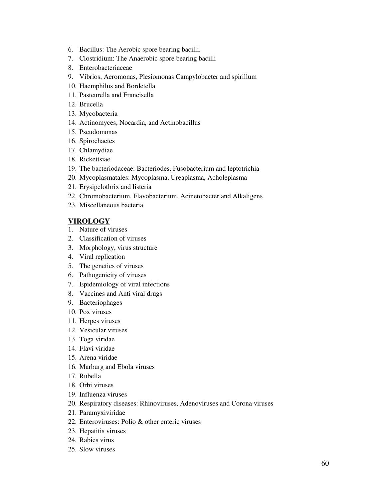- 6. Bacillus: The Aerobic spore bearing bacilli.
- 7. Clostridium: The Anaerobic spore bearing bacilli
- 8. Enterobacteriaceae
- 9. Vibrios, Aeromonas, Plesiomonas Campylobacter and spirillum
- 10. Haemphilus and Bordetella
- 11. Pasteurella and Francisella
- 12. Brucella
- 13. Mycobacteria
- 14. Actinomyces, Nocardia, and Actinobacillus
- 15. Pseudomonas
- 16. Spirochaetes
- 17. Chlamydiae
- 18. Rickettsiae
- 19. The bacteriodaceae: Bacteriodes, Fusobacterium and leptotrichia
- 20. Mycoplasmatales: Mycoplasma, Ureaplasma, Acholeplasma
- 21. Erysipelothrix and listeria
- 22. Chromobacterium, Flavobacterium, Acinetobacter and Alkaligens
- 23. Miscellaneous bacteria

#### **VIROLOGY**

- 1. Nature of viruses
- 2. Classification of viruses
- 3. Morphology, virus structure
- 4. Viral replication
- 5. The genetics of viruses
- 6. Pathogenicity of viruses
- 7. Epidemiology of viral infections
- 8. Vaccines and Anti viral drugs
- 9. Bacteriophages
- 10. Pox viruses
- 11. Herpes viruses
- 12. Vesicular viruses
- 13. Toga viridae
- 14. Flavi viridae
- 15. Arena viridae
- 16. Marburg and Ebola viruses
- 17. Rubella
- 18. Orbi viruses
- 19. Influenza viruses
- 20. Respiratory diseases: Rhinoviruses, Adenoviruses and Corona viruses
- 21. Paramyxiviridae
- 22. Enteroviruses: Polio & other enteric viruses
- 23. Hepatitis viruses
- 24. Rabies virus
- 25. Slow viruses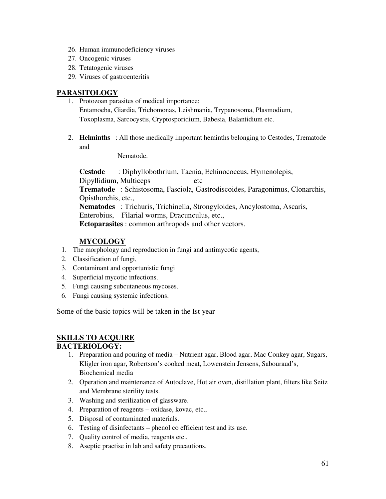- 26. Human immunodeficiency viruses
- 27. Oncogenic viruses
- 28. Tetatogenic viruses
- 29. Viruses of gastroenteritis

#### **PARASITOLOGY**

- 1. Protozoan parasites of medical importance: Entamoeba, Giardia, Trichomonas, Leishmania, Trypanosoma, Plasmodium, Toxoplasma, Sarcocystis, Cryptosporidium, Babesia, Balantidium etc.
- 2. **Helminths** : All those medically important heminths belonging to Cestodes, Trematode and

Nematode.

**Cestode** : Diphyllobothrium, Taenia, Echinococcus, Hymenolepis, Dipyllidium, Multiceps etc **Trematode** : Schistosoma, Fasciola, Gastrodiscoides, Paragonimus, Clonarchis, Opisthorchis, etc., **Nematodes** : Trichuris, Trichinella, Strongyloides, Ancylostoma, Ascaris, Enterobius, Filarial worms, Dracunculus, etc., **Ectoparasites** : common arthropods and other vectors.

### **MYCOLOGY**

- 1. The morphology and reproduction in fungi and antimycotic agents,
- 2. Classification of fungi,
- 3. Contaminant and opportunistic fungi
- 4. Superficial mycotic infections.
- 5. Fungi causing subcutaneous mycoses.
- 6. Fungi causing systemic infections.

Some of the basic topics will be taken in the Ist year

### **SKILLS TO ACQUIRE**

#### **BACTERIOLOGY:**

- 1. Preparation and pouring of media Nutrient agar, Blood agar, Mac Conkey agar, Sugars, Kligler iron agar, Robertson's cooked meat, Lowenstein Jensens, Sabouraud's, Biochemical media
- 2. Operation and maintenance of Autoclave, Hot air oven, distillation plant, filters like Seitz and Membrane sterility tests.
- 3. Washing and sterilization of glassware.
- 4. Preparation of reagents oxidase, kovac, etc.,
- 5. Disposal of contaminated materials.
- 6. Testing of disinfectants phenol co efficient test and its use.
- 7. Quality control of media, reagents etc.,
- 8. Aseptic practise in lab and safety precautions.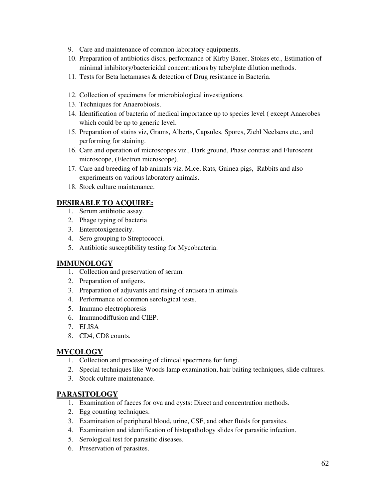- 9. Care and maintenance of common laboratory equipments.
- 10. Preparation of antibiotics discs, performance of Kirby Bauer, Stokes etc., Estimation of minimal inhibitory/bactericidal concentrations by tube/plate dilution methods.
- 11. Tests for Beta lactamases & detection of Drug resistance in Bacteria.
- 12. Collection of specimens for microbiological investigations.
- 13. Techniques for Anaerobiosis.
- 14. Identification of bacteria of medical importance up to species level ( except Anaerobes which could be up to generic level.
- 15. Preparation of stains viz, Grams, Alberts, Capsules, Spores, Ziehl Neelsens etc., and performing for staining.
- 16. Care and operation of microscopes viz., Dark ground, Phase contrast and Fluroscent microscope, (Electron microscope).
- 17. Care and breeding of lab animals viz. Mice, Rats, Guinea pigs, Rabbits and also experiments on various laboratory animals.
- 18. Stock culture maintenance.

### **DESIRABLE TO ACQUIRE:**

- 1. Serum antibiotic assay.
- 2. Phage typing of bacteria
- 3. Enterotoxigenecity.
- 4. Sero grouping to Streptococci.
- 5. Antibiotic susceptibility testing for Mycobacteria.

#### **IMMUNOLOGY**

- 1. Collection and preservation of serum.
- 2. Preparation of antigens.
- 3. Preparation of adjuvants and rising of antisera in animals
- 4. Performance of common serological tests.
- 5. Immuno electrophoresis
- 6. Immunodiffusion and CIEP.
- 7. ELISA
- 8. CD4, CD8 counts.

#### **MYCOLOGY**

- 1. Collection and processing of clinical specimens for fungi.
- 2. Special techniques like Woods lamp examination, hair baiting techniques, slide cultures.
- 3. Stock culture maintenance.

#### **PARASITOLOGY**

- 1. Examination of faeces for ova and cysts: Direct and concentration methods.
- 2. Egg counting techniques.
- 3. Examination of peripheral blood, urine, CSF, and other fluids for parasites.
- 4. Examination and identification of histopathology slides for parasitic infection.
- 5. Serological test for parasitic diseases.
- 6. Preservation of parasites.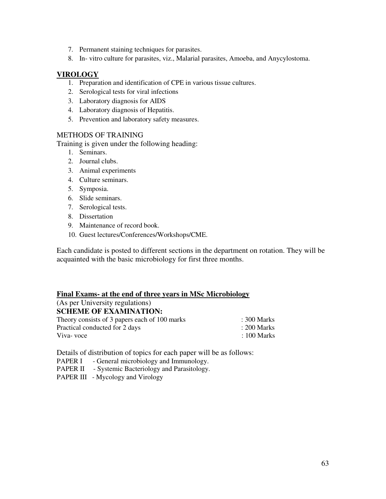- 7. Permanent staining techniques for parasites.
- 8. In- vitro culture for parasites, viz., Malarial parasites, Amoeba, and Anycylostoma.

#### **VIROLOGY**

- 1. Preparation and identification of CPE in various tissue cultures.
- 2. Serological tests for viral infections
- 3. Laboratory diagnosis for AIDS
- 4. Laboratory diagnosis of Hepatitis.
- 5. Prevention and laboratory safety measures.

#### METHODS OF TRAINING

Training is given under the following heading:

- 1. Seminars.
- 2. Journal clubs.
- 3. Animal experiments
- 4. Culture seminars.
- 5. Symposia.
- 6. Slide seminars.
- 7. Serological tests.
- 8. Dissertation
- 9. Maintenance of record book.
- 10. Guest lectures/Conferences/Workshops/CME.

Each candidate is posted to different sections in the department on rotation. They will be acquainted with the basic microbiology for first three months.

#### **Final Exams- at the end of three years in MSc Microbiology**

| (As per University regulations)               |                        |
|-----------------------------------------------|------------------------|
| <b>SCHEME OF EXAMINATION:</b>                 |                        |
| Theory consists of 3 papers each of 100 marks | $\therefore$ 300 Marks |
| Practical conducted for 2 days                | $: 200$ Marks          |
| Viva-voce                                     | $\pm 100$ Marks        |

Details of distribution of topics for each paper will be as follows:

- PAPER I General microbiology and Immunology.
- PAPER II Systemic Bacteriology and Parasitology.
- PAPER III Mycology and Virology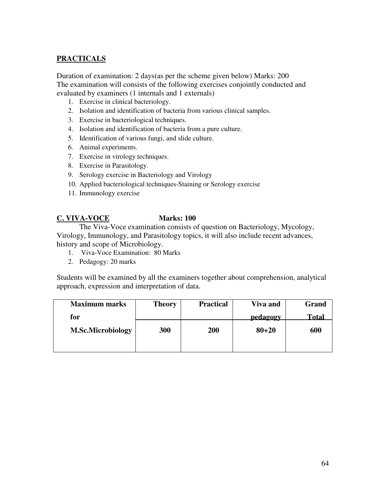# **PRACTICALS**

Duration of examination: 2 days(as per the scheme given below) Marks: 200 The examination will consists of the following exercises conjointly conducted and evaluated by examiners (1 internals and 1 externals)

- 1. Exercise in clinical bacteriology.
- 2. Isolation and identification of bacteria from various clinical samples.
- 3. Exercise in bacteriological techniques.
- 4. Isolation and identification of bacteria from a pure culture.
- 5. Identification of various fungi, and slide culture.
- 6. Animal experiments.
- 7. Exercise in virology techniques.
- 8. Exercise in Parasitology.
- 9. Serology exercise in Bacteriology and Virology
- 10. Applied bacteriological techniques-Staining or Serology exercise
- 11. Immunology exercise

#### **C. VIVA-VOCE Marks: 100**

The Viva-Voce examination consists of question on Bacteriology, Mycology, Virology, Immunology, and Parasitology topics, it will also include recent advances, history and scope of Microbiology.

- 1. Viva-Voce Examination: 80 Marks
- 2. Pedagogy: 20 marks

Students will be examined by all the examiners together about comprehension, analytical approach, expression and interpretation of data.

| <b>Maximum marks</b>     | <b>Theory</b> | <b>Practical</b> | Viva and         | Grand |
|--------------------------|---------------|------------------|------------------|-------|
| for                      |               |                  | pedagogy<br>ਰ ਹਾ | Total |
| <b>M.Sc.Microbiology</b> | 300           | 200              | $80 + 20$        | 600   |
|                          |               |                  |                  |       |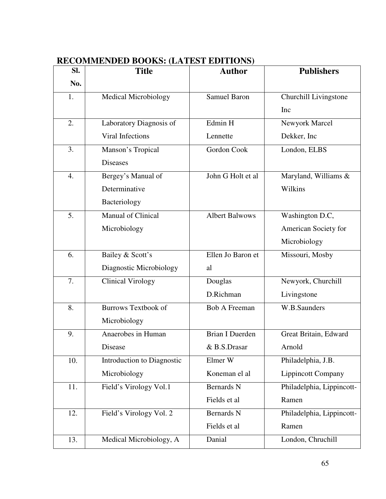| SI. | <b>Title</b>                | <b>Author</b>          | <b>Publishers</b>         |
|-----|-----------------------------|------------------------|---------------------------|
| No. |                             |                        |                           |
| 1.  | <b>Medical Microbiology</b> | <b>Samuel Baron</b>    | Churchill Livingstone     |
|     |                             |                        | Inc                       |
| 2.  | Laboratory Diagnosis of     | Edmin H                | Newyork Marcel            |
|     | <b>Viral Infections</b>     | Lennette               | Dekker, Inc               |
| 3.  | Manson's Tropical           | Gordon Cook            | London, ELBS              |
|     | <b>Diseases</b>             |                        |                           |
| 4.  | Bergey's Manual of          | John G Holt et al      | Maryland, Williams &      |
|     | Determinative               |                        | Wilkins                   |
|     | Bacteriology                |                        |                           |
| 5.  | <b>Manual of Clinical</b>   | <b>Albert Balwows</b>  | Washington D.C,           |
|     | Microbiology                |                        | American Society for      |
|     |                             |                        | Microbiology              |
| 6.  | Bailey & Scott's            | Ellen Jo Baron et      | Missouri, Mosby           |
|     | Diagnostic Microbiology     | al                     |                           |
| 7.  | <b>Clinical Virology</b>    | Douglas                | Newyork, Churchill        |
|     |                             | D.Richman              | Livingstone               |
| 8.  | <b>Burrows Textbook of</b>  | <b>Bob A Freeman</b>   | W.B.Saunders              |
|     | Microbiology                |                        |                           |
| 9.  | Anaerobes in Human          | <b>Brian I Duerden</b> | Great Britain, Edward     |
|     | Disease                     | & B.S.Drasar           | Arnold                    |
| 10. | Introduction to Diagnostic  | Elmer W                | Philadelphia, J.B.        |
|     | Microbiology                | Koneman el al          | <b>Lippincott Company</b> |
| 11. | Field's Virology Vol.1      | <b>Bernards N</b>      | Philadelphia, Lippincott- |
|     |                             | Fields et al           | Ramen                     |
| 12. | Field's Virology Vol. 2     | <b>Bernards N</b>      | Philadelphia, Lippincott- |
|     |                             | Fields et al           | Ramen                     |
| 13. | Medical Microbiology, A     | Danial                 | London, Chruchill         |

# **RECOMMENDED BOOKS: (LATEST EDITIONS)**